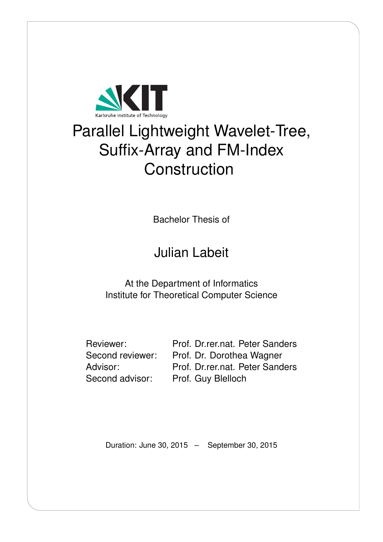

# Parallel Lightweight Wavelet-Tree, Suffix-Array and FM-Index **Construction**

Bachelor Thesis of

# Julian Labeit

At the Department of Informatics Institute for Theoretical Computer Science

Reviewer: Prof. Dr.rer.nat. Peter Sanders Second reviewer: Prof. Dr. Dorothea Wagner Advisor: Prof. Dr.rer.nat. Peter Sanders Second advisor: Prof. Guy Blelloch

Duration: June 30, 2015 – September 30, 2015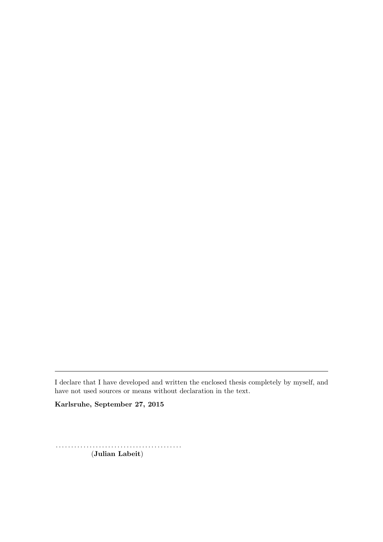I declare that I have developed and written the enclosed thesis completely by myself, and have not used sources or means without declaration in the text.

Karlsruhe, September 27, 2015

. . . . . . . . . . . . . . . . . . . . . . . . . . . . . . . . . . . . . . . . . (Julian Labeit)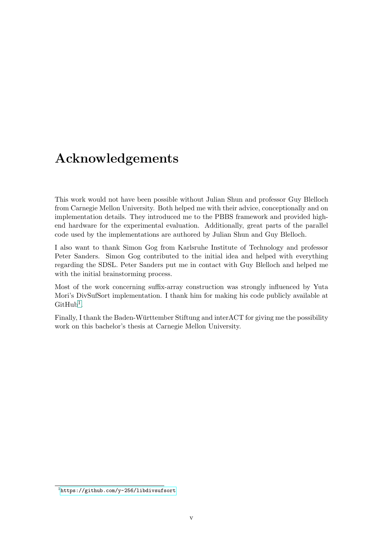## <span id="page-4-1"></span>Acknowledgements

This work would not have been possible without Julian Shun and professor Guy Blelloch from Carnegie Mellon University. Both helped me with their advice, conceptionally and on implementation details. They introduced me to the PBBS framework and provided highend hardware for the experimental evaluation. Additionally, great parts of the parallel code used by the implementations are authored by Julian Shun and Guy Blelloch.

I also want to thank Simon Gog from Karlsruhe Institute of Technology and professor Peter Sanders. Simon Gog contributed to the initial idea and helped with everything regarding the SDSL. Peter Sanders put me in contact with Guy Blelloch and helped me with the initial brainstorming process.

Most of the work concerning suffix-array construction was strongly influenced by Yuta Mori's DivSufSort implementation. I thank him for making his code publicly available at  $G$ itHub<sup>[1](#page-4-0)</sup>.

Finally, I thank the Baden-Württember Stiftung and interACT for giving me the possibility work on this bachelor's thesis at Carnegie Mellon University.

<span id="page-4-0"></span><sup>1</sup> <https://github.com/y-256/libdivsufsort>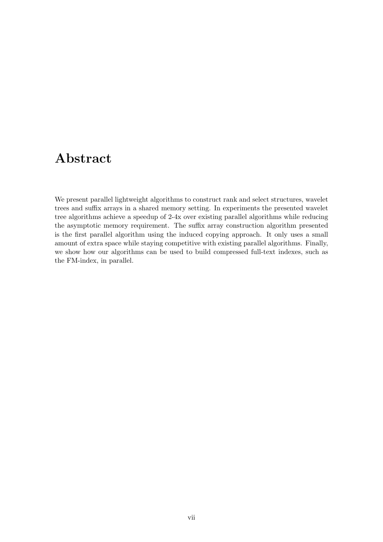## <span id="page-6-0"></span>Abstract

We present parallel lightweight algorithms to construct rank and select structures, wavelet trees and suffix arrays in a shared memory setting. In experiments the presented wavelet tree algorithms achieve a speedup of 2-4x over existing parallel algorithms while reducing the asymptotic memory requirement. The suffix array construction algorithm presented is the first parallel algorithm using the induced copying approach. It only uses a small amount of extra space while staying competitive with existing parallel algorithms. Finally, we show how our algorithms can be used to build compressed full-text indexes, such as the FM-index, in parallel.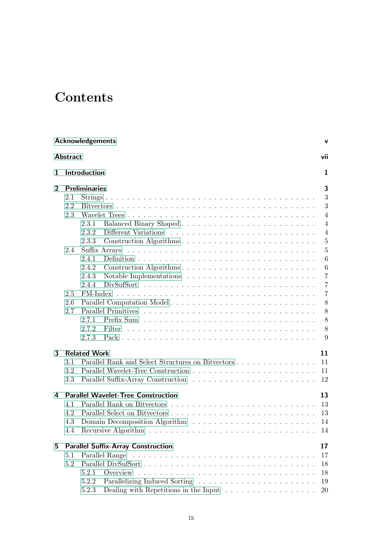## **Contents**

|                | <b>Acknowledgements</b><br>v |                      |                                                                             |                |  |  |  |  |
|----------------|------------------------------|----------------------|-----------------------------------------------------------------------------|----------------|--|--|--|--|
|                | <b>Abstract</b>              |                      |                                                                             | vii            |  |  |  |  |
| 1              |                              | Introduction         |                                                                             | 1              |  |  |  |  |
| $\overline{2}$ |                              | <b>Preliminaries</b> |                                                                             | 3              |  |  |  |  |
|                | 2.1                          |                      |                                                                             | 3              |  |  |  |  |
|                | 2.2                          |                      |                                                                             | 3              |  |  |  |  |
|                | 2.3                          |                      |                                                                             | 4              |  |  |  |  |
|                |                              | 2.3.1                |                                                                             | $\overline{4}$ |  |  |  |  |
|                |                              | 2.3.2                |                                                                             | 4              |  |  |  |  |
|                |                              | 2.3.3                | Construction Algorithms                                                     | $\overline{5}$ |  |  |  |  |
|                | 2.4                          |                      |                                                                             | $\overline{5}$ |  |  |  |  |
|                |                              | 2.4.1                |                                                                             | 6              |  |  |  |  |
|                |                              | 2.4.2                | Construction Algorithms                                                     | 6              |  |  |  |  |
|                |                              | 2.4.3                |                                                                             | $\overline{7}$ |  |  |  |  |
|                |                              | 2.4.4                |                                                                             | $\overline{7}$ |  |  |  |  |
|                | 2.5                          | FM-Index             |                                                                             | $\overline{7}$ |  |  |  |  |
|                | 2.6                          |                      |                                                                             | 8              |  |  |  |  |
|                | 2.7                          |                      |                                                                             | 8              |  |  |  |  |
|                |                              | 2.7.1                |                                                                             | 8              |  |  |  |  |
|                |                              | 2.7.2                | Filter                                                                      | 8              |  |  |  |  |
|                |                              | 2.7.3                |                                                                             | 9              |  |  |  |  |
| 3              |                              | <b>Related Work</b>  |                                                                             | 11             |  |  |  |  |
|                | 3.1                          |                      | Parallel Rank and Select Structures on Bitvectors                           | 11             |  |  |  |  |
|                | 3.2                          |                      |                                                                             | 11             |  |  |  |  |
|                | 3.3                          |                      |                                                                             | 12             |  |  |  |  |
| 4              |                              |                      | <b>Parallel Wavelet-Tree Construction</b>                                   | 13             |  |  |  |  |
|                | 4.1                          |                      |                                                                             | 13             |  |  |  |  |
|                | 4.2                          |                      |                                                                             | 13             |  |  |  |  |
|                | 4.3                          |                      |                                                                             | 14             |  |  |  |  |
|                | 4.4                          |                      |                                                                             | 14             |  |  |  |  |
| 5              |                              |                      | <b>Parallel Suffix-Array Construction</b>                                   | 17             |  |  |  |  |
|                | 5.1                          |                      |                                                                             | 17             |  |  |  |  |
|                | 5.2                          |                      |                                                                             | 18             |  |  |  |  |
|                |                              | 5.2.1                |                                                                             | 18             |  |  |  |  |
|                |                              | 5.2.2                |                                                                             | 19             |  |  |  |  |
|                |                              | 5.2.3                | Dealing with Repetitions in the Input $\dots \dots \dots \dots \dots \dots$ | 20             |  |  |  |  |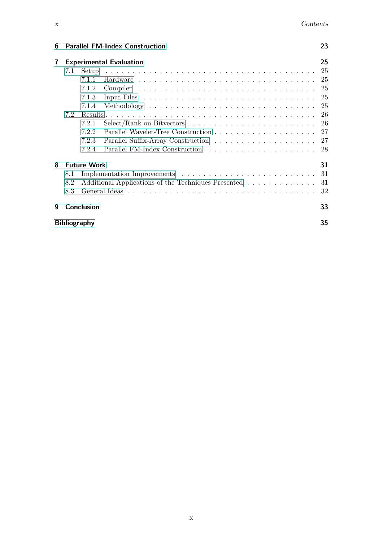| 6 Parallel FM-Index Construction |  |
|----------------------------------|--|
|                                  |  |

| 7 |                     |                    | <b>Experimental Evaluation</b>                      | 25  |
|---|---------------------|--------------------|-----------------------------------------------------|-----|
|   | 7.1                 | Setup              |                                                     | 25  |
|   |                     | 7.1.1              |                                                     | 25  |
|   |                     | 7.1.2              |                                                     | 25  |
|   |                     | 7.1.3              |                                                     | 25  |
|   |                     | 7.1.4              |                                                     | 25  |
|   | 7.2                 |                    |                                                     | 26  |
|   |                     | 7.2.1              |                                                     | -26 |
|   |                     | 7.2.2              |                                                     |     |
|   |                     | 7.2.3              |                                                     |     |
|   |                     | 7.2.4              |                                                     | 28  |
| 8 |                     | <b>Future Work</b> |                                                     | 31  |
|   | 8.1                 |                    |                                                     | 31  |
|   | 8.2                 |                    | Additional Applications of the Techniques Presented | -31 |
|   | 8.3                 |                    |                                                     | 32  |
| q |                     | <b>Conclusion</b>  |                                                     | 33  |
|   | <b>Bibliography</b> |                    |                                                     | 35  |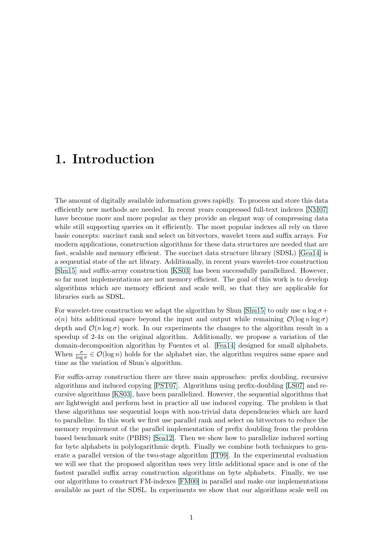## <span id="page-10-0"></span>1. Introduction

The amount of digitally available information grows rapidly. To process and store this data efficiently new methods are needed. In recent years compressed full-text indexes [\[NM07\]](#page-45-0) have become more and more popular as they provide an elegant way of compressing data while still supporting queries on it efficiently. The most popular indexes all rely on three basic concepts: succinct rank and select on bitvectors, wavelet trees and suffix arrays. For modern applications, construction algorithms for these data structures are needed that are fast, scalable and memory efficient. The succinct data structure library (SDSL) [\[Gea14\]](#page-44-1) is a sequential state of the art library. Additionally, in recent years wavelet-tree construction [\[Shu15\]](#page-45-1) and suffix-array construction [\[KS03\]](#page-44-2) has been successfully parallelized. However, so far most implementations are not memory efficient. The goal of this work is to develop algorithms which are memory efficient and scale well, so that they are applicable for libraries such as SDSL.

For wavelet-tree construction we adapt the algorithm by Shun [\[Shu15\]](#page-45-1) to only use  $n \log \sigma +$  $o(n)$  bits additional space beyond the input and output while remaining  $\mathcal{O}(\log n \log \sigma)$ depth and  $\mathcal{O}(n \log \sigma)$  work. In our experiments the changes to the algorithm result in a speedup of 2-4x on the original algorithm. Additionally, we propose a variation of the domain-decomposition algorithm by Fuentes et al. [\[Fea14\]](#page-44-3) designed for small alphabets. When  $\frac{\sigma}{\log \sigma} \in \mathcal{O}(\log n)$  holds for the alphabet size, the algorithm requires same space and time as the variation of Shun's algorithm.

For suffix-array construction there are three main approaches: prefix doubling, recursive algorithms and induced copying [\[PST07\]](#page-45-2). Algorithms using prefix-doubling [\[LS07\]](#page-45-3) and recursive algorithms [\[KS03\]](#page-44-2), have been parallelized. However, the sequential algorithms that are lightweight and perform best in practice all use induced copying. The problem is that these algorithms use sequential loops with non-trivial data dependencies which are hard to parallelize. In this work we first use parallel rank and select on bitvectors to reduce the memory requirement of the parallel implementation of prefix doubling from the problem based benchmark suite (PBBS) [\[Sea12\]](#page-45-4). Then we show how to parallelize induced sorting for byte alphabets in polylogarithmic depth. Finally we combine both techniques to generate a parallel version of the two-stage algorithm [\[IT99\]](#page-44-4). In the experimental evaluation we will see that the proposed algorithm uses very little additional space and is one of the fastest parallel suffix array construction algorithms on byte alphabets. Finally, we use our algorithms to construct FM-indexes [\[FM00\]](#page-44-5) in parallel and make our implementations available as part of the SDSL. In experiments we show that our algorithms scale well on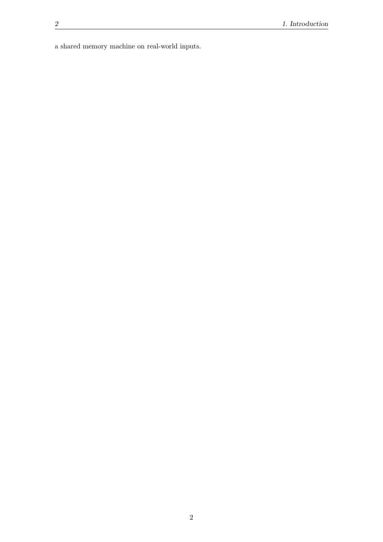a shared memory machine on real-world inputs.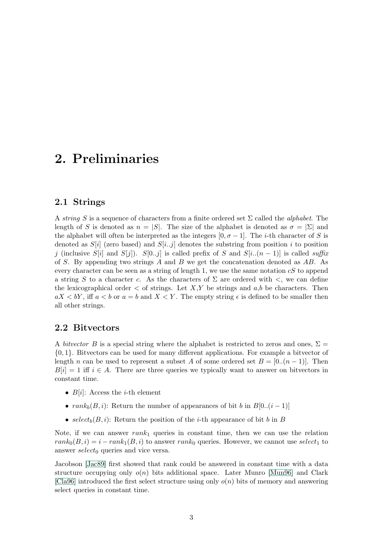## <span id="page-12-0"></span>2. Preliminaries

### <span id="page-12-1"></span>2.1 Strings

A string S is a sequence of characters from a finite ordered set  $\Sigma$  called the *alphabet*. The length of S is denoted as  $n = |S|$ . The size of the alphabet is denoted as  $\sigma = |\Sigma|$  and the alphabet will often be interpreted as the integers  $[0, \sigma - 1]$ . The *i*-th character of S is denoted as  $S[i]$  (zero based) and  $S[i,j]$  denotes the substring from position i to position j (inclusive S[i] and S[j]). S[0..j] is called prefix of S and S[i..(n – 1)] is called suffix of S. By appending two strings A and B we get the concatenation denoted as  $AB$ . As every character can be seen as a string of length 1, we use the same notation  $cS$  to append a string S to a character c. As the characters of  $\Sigma$  are ordered with  $\lt$ , we can define the lexicographical order  $\lt$  of strings. Let X,Y be strings and a,b be characters. Then  $aX < bY$ , iff  $a < b$  or  $a = b$  and  $X < Y$ . The empty string  $\epsilon$  is defined to be smaller then all other strings.

#### <span id="page-12-2"></span>2.2 Bitvectors

A bitvector B is a special string where the alphabet is restricted to zeros and ones,  $\Sigma =$ {0, 1}. Bitvectors can be used for many different applications. For example a bitvector of length n can be used to represent a subset A of some ordered set  $B = [0..(n-1)]$ . Then  $B[i] = 1$  iff  $i \in A$ . There are three queries we typically want to answer on bitvectors in constant time.

- $B[i]$ : Access the *i*-th element
- $rank_b(B, i)$ : Return the number of appearances of bit b in  $B[0..(i-1)]$
- select<sub>b</sub> $(B, i)$ : Return the position of the *i*-th appearance of bit *b* in *B*

Note, if we can answer  $rank_1$  queries in constant time, then we can use the relation  $rank_0(B, i) = i - rank_1(B, i)$  to answer rank<sub>0</sub> queries. However, we cannot use select<sub>1</sub> to answer  $select_0$  queries and vice versa.

Jacobson [\[Jac89\]](#page-44-6) first showed that rank could be answered in constant time with a data structure occupying only  $o(n)$  bits additional space. Later Munro [\[Mun96\]](#page-45-5) and Clark [\[Cla96\]](#page-44-7) introduced the first select structure using only  $o(n)$  bits of memory and answering select queries in constant time.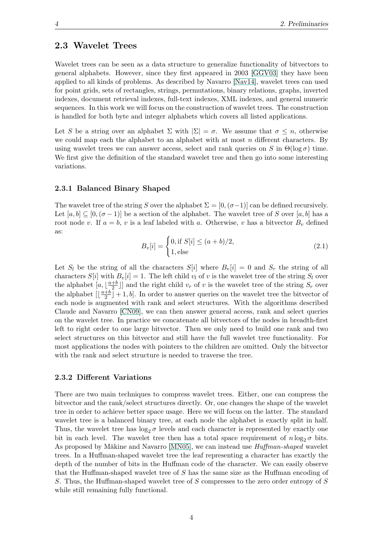### <span id="page-13-0"></span>2.3 Wavelet Trees

Wavelet trees can be seen as a data structure to generalize functionality of bitvectors to general alphabets. However, since they first appeared in 2003 [\[GGV03\]](#page-44-8) they have been applied to all kinds of problems. As described by Navarro [\[Nav14\]](#page-45-6), wavelet trees can used for point grids, sets of rectangles, strings, permutations, binary relations, graphs, inverted indexes, document retrieval indexes, full-text indexes, XML indexes, and general numeric sequences. In this work we will focus on the construction of wavelet trees. The construction is handled for both byte and integer alphabets which covers all listed applications.

Let S be a string over an alphabet  $\Sigma$  with  $|\Sigma| = \sigma$ . We assume that  $\sigma \leq n$ , otherwise we could map each the alphabet to an alphabet with at most  $n$  different characters. By using wavelet trees we can answer access, select and rank queries on S in  $\Theta(\log \sigma)$  time. We first give the definition of the standard wavelet tree and then go into some interesting variations.

#### <span id="page-13-1"></span>2.3.1 Balanced Binary Shaped

The wavelet tree of the string S over the alphabet  $\Sigma = [0, (\sigma-1)]$  can be defined recursively. Let  $[a, b] \subseteq [0, (\sigma - 1)]$  be a section of the alphabet. The wavelet tree of S over  $[a, b]$  has a root node v. If  $a = b$ , v is a leaf labeled with a. Otherwise, v has a bitvector  $B<sub>v</sub>$  defined as:

$$
B_v[i] = \begin{cases} 0, \text{if } S[i] \le (a+b)/2, \\ 1, \text{else} \end{cases}
$$
 (2.1)

Let  $S_l$  be the string of all the characters  $S[i]$  where  $B_v[i] = 0$  and  $S_r$  the string of all characters  $S[i]$  with  $B_v[i] = 1$ . The left child  $v_l$  of v is the wavelet tree of the string  $S_l$  over the alphabet  $[a, \frac{a+b}{2}]$  $\frac{+b}{2}$ ] and the right child  $v_r$  of v is the wavelet tree of the string  $S_r$  over the alphabet  $\left[\frac{a+b}{2}\right]$  $\frac{+b}{2}$  + 1, b. In order to answer queries on the wavelet tree the bitvector of each node is augmented with rank and select structures. With the algorithms described Claude and Navarro [\[CN09\]](#page-44-9), we can then answer general access, rank and select queries on the wavelet tree. In practice we concatenate all bitvectors of the nodes in breadth-first left to right order to one large bitvector. Then we only need to build one rank and two select structures on this bitvector and still have the full wavelet tree functionality. For most applications the nodes with pointers to the children are omitted. Only the bitvector with the rank and select structure is needed to traverse the tree.

#### <span id="page-13-2"></span>2.3.2 Different Variations

There are two main techniques to compress wavelet trees. Either, one can compress the bitvector and the rank/select structures directly. Or, one changes the shape of the wavelet tree in order to achieve better space usage. Here we will focus on the latter. The standard wavelet tree is a balanced binary tree, at each node the alphabet is exactly split in half. Thus, the wavelet tree has  $\log_2 \sigma$  levels and each character is represented by exactly one bit in each level. The wavelet tree then has a total space requirement of  $n \log_2 \sigma$  bits. As proposed by Mäkine and Navarro [\[MN05\]](#page-45-7), we can instead use *Huffman-shaped* wavelet trees. In a Huffman-shaped wavelet tree the leaf representing a character has exactly the depth of the number of bits in the Huffman code of the character. We can easily observe that the Huffman-shaped wavelet tree of  $S$  has the same size as the Huffman encoding of S. Thus, the Huffman-shaped wavelet tree of S compresses to the zero order entropy of S while still remaining fully functional.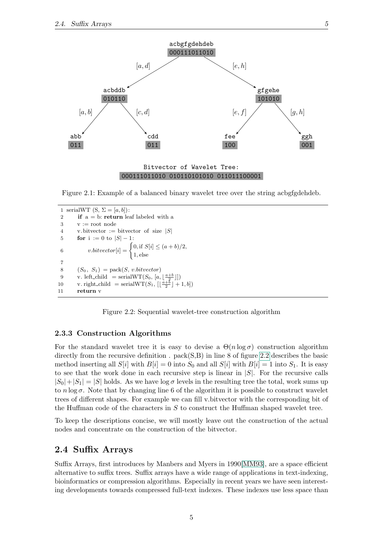

Figure 2.1: Example of a balanced binary wavelet tree over the string acbgfgdehdeb.

```
1 serialWT (S, \Sigma = [a, b]):
 2 if a = b: return leaf labeled with a
 3 \quad v := root node
 4 v. bitvector := bitvector of size |S|5 for i := 0 to |S| - 1:
 6 v.bitvector[i] = \begin{cases} 0, \text{if } S[i] \leq (a+b)/2, \end{cases}1, else
 7
 8 (S_0, S_1) = \text{pack}(S, v.bitvector)9 v. left_child = serialWT(S_0, [a, \lfloor \frac{a+b}{2} \rfloor])10 v. right_child = serialWT(S_1, [\lfloor \frac{a+b}{2} \rfloor + 1, b])11 return v
```
<span id="page-14-2"></span>Figure 2.2: Sequential wavelet-tree construction algorithm

#### <span id="page-14-0"></span>2.3.3 Construction Algorithms

For the standard wavelet tree it is easy to devise a  $\Theta(n \log \sigma)$  construction algorithm directly from the recursive definition.  $pack(S, B)$  in line 8 of figure [2.2](#page-14-2) describes the basic method inserting all  $S[i]$  with  $B[i] = 0$  into  $S_0$  and all  $S[i]$  with  $B[i] = 1$  into  $S_1$ . It is easy to see that the work done in each recursive step is linear in  $|S|$ . For the recursive calls  $|S_0|+|S_1| = |S|$  holds. As we have log  $\sigma$  levels in the resulting tree the total, work sums up to  $n \log \sigma$ . Note that by changing line 6 of the algorithm it is possible to construct wavelet trees of different shapes. For example we can fill v.bitvector with the corresponding bit of the Huffman code of the characters in  $S$  to construct the Huffman shaped wavelet tree.

To keep the descriptions concise, we will mostly leave out the construction of the actual nodes and concentrate on the construction of the bitvector.

### <span id="page-14-1"></span>2.4 Suffix Arrays

Suffix Arrays, first introduces by Manbers and Myers in 1990[\[MM93\]](#page-45-8), are a space efficient alternative to suffix trees. Suffix arrays have a wide range of applications in text-indexing, bioinformatics or compression algorithms. Especially in recent years we have seen interesting developments towards compressed full-text indexes. These indexes use less space than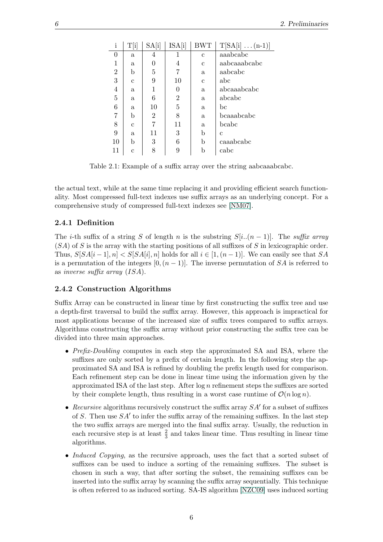| $\mathbf{i}$   | $\mathrm{T[i]}$ | SA[i]          | ISA[i] | <b>BWT</b>   | $T[SA[i] \dots (n-1)]$ |
|----------------|-----------------|----------------|--------|--------------|------------------------|
| 0              | $\mathbf{a}$    | 4              |        | $\mathbf c$  | aaabcabc               |
| 1              | a.              | $\overline{0}$ | 4      | с            | aabcaaabcabc           |
| $\overline{2}$ | b               | 5              | 7      | $\mathbf{a}$ | aabcabc                |
| 3              | $\mathbf{C}$    | 9              | 10     | с            | abc                    |
| 4              | a.              | 1              | 0      | $\mathbf{a}$ | abcaaabcabc            |
| $\overline{5}$ | $\mathbf{a}$    | 6              | 2      | a            | abcabc                 |
| 6              | a               | 10             | 5      | $\mathbf{a}$ | bc                     |
|                | b               | $\overline{2}$ | 8      | $\mathbf{a}$ | bcaaabcabc             |
| 8              | C               | 7              | 11     | $\mathbf{a}$ | bcabc                  |
| 9              | $\mathbf{a}$    | 11             | 3      | b            | C                      |
| 10             | b               | 3              | 6      | b            | caaabcabc              |
| 11             | С               | 8              | 9      | b            | cabc                   |

<span id="page-15-2"></span>Table 2.1: Example of a suffix array over the string aabcaaabcabc.

the actual text, while at the same time replacing it and providing efficient search functionality. Most compressed full-text indexes use suffix arrays as an underlying concept. For a comprehensive study of compressed full-text indexes see [\[NM07\]](#page-45-0).

#### <span id="page-15-0"></span>2.4.1 Definition

The i-th suffix of a string S of length n is the substring  $S[i..(n-1)]$ . The suffix array  $(S_A)$  of S is the array with the starting positions of all suffixes of S in lexicographic order. Thus,  $S[SA[i-1], n] < S[SA[i], n]$  holds for all  $i \in [1,(n-1)]$ . We can easily see that SA is a permutation of the integers  $[0,(n-1)]$ . The inverse permutation of SA is referred to as inverse suffix array (ISA).

#### <span id="page-15-1"></span>2.4.2 Construction Algorithms

Suffix Array can be constructed in linear time by first constructing the suffix tree and use a depth-first traversal to build the suffix array. However, this approach is impractical for most applications because of the increased size of suffix trees compared to suffix arrays. Algorithms constructing the suffix array without prior constructing the suffix tree can be divided into three main approaches.

- Prefix-Doubling computes in each step the approximated SA and ISA, where the suffixes are only sorted by a prefix of certain length. In the following step the approximated SA and ISA is refined by doubling the prefix length used for comparison. Each refinement step can be done in linear time using the information given by the approximated ISA of the last step. After  $\log n$  refinement steps the suffixes are sorted by their complete length, thus resulting in a worst case runtime of  $\mathcal{O}(n \log n)$ .
- Recursive algorithms recursively construct the suffix array  $SA'$  for a subset of suffixes of S. Then use  $SA'$  to infer the suffix array of the remaining suffixes. In the last step the two suffix arrays are merged into the final suffix array. Usually, the reduction in each recursive step is at least  $\frac{2}{3}$  and takes linear time. Thus resulting in linear time algorithms.
- Induced Copying, as the recursive approach, uses the fact that a sorted subset of suffixes can be used to induce a sorting of the remaining suffixes. The subset is chosen in such a way, that after sorting the subset, the remaining suffixes can be inserted into the suffix array by scanning the suffix array sequentially. This technique is often referred to as induced sorting. SA-IS algorithm [\[NZC09\]](#page-45-9) uses induced sorting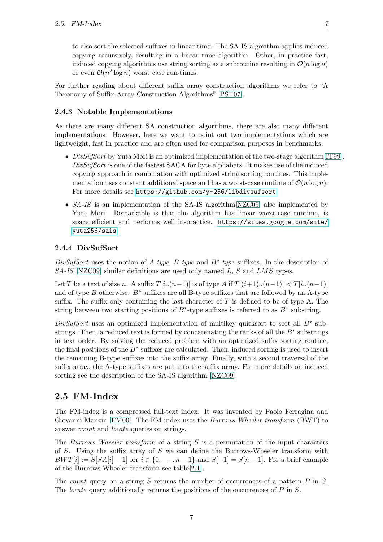to also sort the selected suffixes in linear time. The SA-IS algorithm applies induced copying recursively, resulting in a linear time algorithm. Other, in practice fast, induced copying algorithms use string sorting as a subroutine resulting in  $\mathcal{O}(n \log n)$ or even  $\mathcal{O}(n^2 \log n)$  worst case run-times.

For further reading about different suffix array construction algorithms we refer to "A Taxonomy of Suffix Array Construction Algorithms" [\[PST07\]](#page-45-2).

#### <span id="page-16-0"></span>2.4.3 Notable Implementations

As there are many different SA construction algorithms, there are also many different implementations. However, here we want to point out two implementations which are lightweight, fast in practice and are often used for comparison purposes in benchmarks.

- DivSufSort by Yuta Mori is an optimized implementation of the two-stage algorithm [\[IT99\]](#page-44-4). DivSufSort is one of the fastest SACA for byte alphabets. It makes use of the induced copying approach in combination with optimized string sorting routines. This implementation uses constant additional space and has a worst-case runtime of  $\mathcal{O}(n \log n)$ . For more details see <https://github.com/y-256/libdivsufsort>.
- SA-IS is an implementation of the SA-IS algorithm  $NZCO9$  also implemented by Yuta Mori. Remarkable is that the algorithm has linear worst-case runtime, is space efficient and performs well in-practice. [https://sites.google.com/site/](https://sites.google.com/site/yuta256/sais) [yuta256/sais](https://sites.google.com/site/yuta256/sais)

#### <span id="page-16-1"></span>2.4.4 DivSufSort

DivSufSort uses the notion of A-type, B-type and  $B^*$ -type suffixes. In the description of SA-IS [\[NZC09\]](#page-45-9) similar definitions are used only named L, S and LMS types.

Let T be a text of size n. A suffix  $T[i..(n-1)]$  is of type A if  $T[(i+1)..(n-1)] < T[i..(n-1)]$ and of type  $B$  otherwise.  $B^*$  suffixes are all B-type suffixes that are followed by an A-type suffix. The suffix only containing the last character of  $T$  is defined to be of type A. The string between two starting positions of  $B^*$ -type suffixes is referred to as  $B^*$  substring.

DivSufSort uses an optimized implementation of multikey quicksort to sort all  $B^*$  substrings. Then, a reduced text is formed by concatenating the ranks of all the  $B^*$  substrings in text order. By solving the reduced problem with an optimized suffix sorting routine, the final positions of the  $B^*$  suffixes are calculated. Then, induced sorting is used to insert the remaining B-type suffixes into the suffix array. Finally, with a second traversal of the suffix array, the A-type suffixes are put into the suffix array. For more details on induced sorting see the description of the SA-IS algorithm [\[NZC09\]](#page-45-9).

#### <span id="page-16-2"></span>2.5 FM-Index

The FM-index is a compressed full-text index. It was invented by Paolo Ferragina and Giovanni Manzin [\[FM00\]](#page-44-5). The FM-index uses the *Burrows-Wheeler transform* (BWT) to answer count and locate queries on strings.

The Burrows-Wheeler transform of a string  $S$  is a permutation of the input characters of S. Using the suffix array of S we can define the Burrows-Wheeler transform with  $BWT[i] := S[SA[i] - 1]$  for  $i \in \{0, \dots, n-1\}$  and  $S[-1] = S[n-1]$ . For a brief example of the Burrows-Wheeler transform see table [2.1](#page-15-2) .

The *count* query on a string  $S$  returns the number of occurrences of a pattern  $P$  in  $S$ . The *locate* query additionally returns the positions of the occurrences of P in S.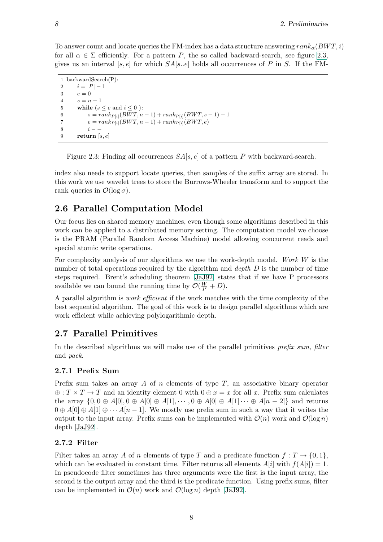To answer count and locate queries the FM-index has a data structure answering  $rank_{\alpha}(BWT, i)$ for all  $\alpha \in \Sigma$  efficiently. For a pattern P, the so called backward-search, see figure [2.3,](#page-17-4) gives us an interval [s, e] for which  $SA[s..e]$  holds all occurrences of P in S. If the FM-

```
1 backwardSearch(P):
2 i = |P| - 13 e = 04 s = n - 15 while (s \le e and i \le 0):
6 s = rank_{P[i]}(BWT, n-1) + rank_{P[i]}(BWT, s-1) + 17 e = rank_{P[i]}(BWT, n - 1) + rank_{P[i]}(BWT, e)8 i - -9 return [s, e]
```
<span id="page-17-4"></span>Figure 2.3: Finding all occurrences  $SA[s, e]$  of a pattern P with backward-search.

index also needs to support locate queries, then samples of the suffix array are stored. In this work we use wavelet trees to store the Burrows-Wheeler transform and to support the rank queries in  $\mathcal{O}(\log \sigma)$ .

## <span id="page-17-0"></span>2.6 Parallel Computation Model

Our focus lies on shared memory machines, even though some algorithms described in this work can be applied to a distributed memory setting. The computation model we choose is the PRAM (Parallel Random Access Machine) model allowing concurrent reads and special atomic write operations.

For complexity analysis of our algorithms we use the work-depth model. Work W is the number of total operations required by the algorithm and *depth*  $D$  is the number of time steps required. Brent's scheduling theorem [\[JaJ92\]](#page-44-10) states that if we have P processors available we can bound the running time by  $\mathcal{O}(\frac{W}{P}+D)$ .

A parallel algorithm is work efficient if the work matches with the time complexity of the best sequential algorithm. The goal of this work is to design parallel algorithms which are work efficient while achieving polylogarithmic depth.

## <span id="page-17-1"></span>2.7 Parallel Primitives

In the described algorithms we will make use of the parallel primitives prefix sum, filter and pack.

#### <span id="page-17-2"></span>2.7.1 Prefix Sum

Prefix sum takes an array A of n elements of type  $T$ , an associative binary operator  $\oplus$ :  $T \times T \to T$  and an identity element 0 with  $0 \oplus x = x$  for all x. Prefix sum calculates the array  $\{0, 0 \oplus A[0], 0 \oplus A[0] \oplus A[1], \cdots, 0 \oplus A[0] \oplus A[1] \cdots \oplus A[n-2]\}\$  and returns  $0 \oplus A[0] \oplus A[1] \oplus \cdots A[n-1]$ . We mostly use prefix sum in such a way that it writes the output to the input array. Prefix sums can be implemented with  $\mathcal{O}(n)$  work and  $\mathcal{O}(\log n)$ depth [\[JaJ92\]](#page-44-10).

#### <span id="page-17-3"></span>2.7.2 Filter

Filter takes an array A of n elements of type T and a predicate function  $f: T \to \{0, 1\}$ , which can be evaluated in constant time. Filter returns all elements  $A[i]$  with  $f(A[i]) = 1$ . In pseudocode filter sometimes has three arguments were the first is the input array, the second is the output array and the third is the predicate function. Using prefix sums, filter can be implemented in  $\mathcal{O}(n)$  work and  $\mathcal{O}(\log n)$  depth [\[JaJ92\]](#page-44-10).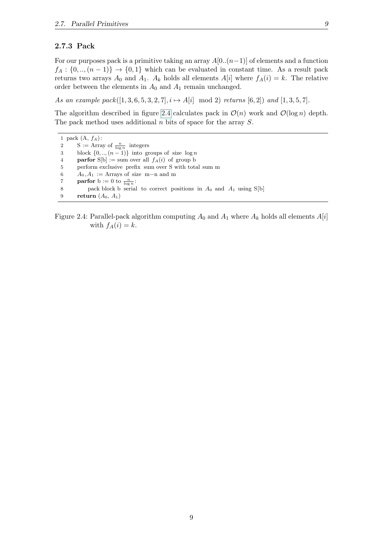#### <span id="page-18-0"></span>2.7.3 Pack

For our purposes pack is a primitive taking an array  $A[0..(n-1)]$  of elements and a function  $f_A: \{0, \ldots, (n-1)\} \rightarrow \{0, 1\}$  which can be evaluated in constant time. As a result pack returns two arrays  $A_0$  and  $A_1$ .  $A_k$  holds all elements  $A[i]$  where  $f_A(i) = k$ . The relative order between the elements in  $A_0$  and  $A_1$  remain unchanged.

As an example pack $([1, 3, 6, 5, 3, 2, 7], i \mapsto A[i] \mod 2$  returns  $[6, 2]$  and  $[1, 3, 5, 7]$ .

The algorithm described in figure [2.4](#page-18-1) calculates pack in  $\mathcal{O}(n)$  work and  $\mathcal{O}(\log n)$  depth. The pack method uses additional  $n$  bits of space for the array  $S$ .

1 pack  $(A, f_A)$ : 2 S := Array of  $\frac{n}{\log n}$  integers 3 block  $\{0, \ldots, (n-1)\}\$ into groups of size  $\log n$ 4 **parfor** S[b] := sum over all  $f_A(i)$  of group b 5 perform exclusive prefix sum over S with total sum m 6  $A_0, A_1 := \text{Arrays of size } m-n \text{ and } m$ 7 **parfor** b := 0 to  $\frac{n}{\log n}$ : 8 pack block b serial to correct positions in  $A_0$  and  $A_1$  using S[b] 9 return  $(A_0, A_1)$ 

<span id="page-18-1"></span>Figure 2.4: Parallel-pack algorithm computing  $A_0$  and  $A_1$  where  $A_k$  holds all elements  $A[i]$ with  $f_A(i) = k$ .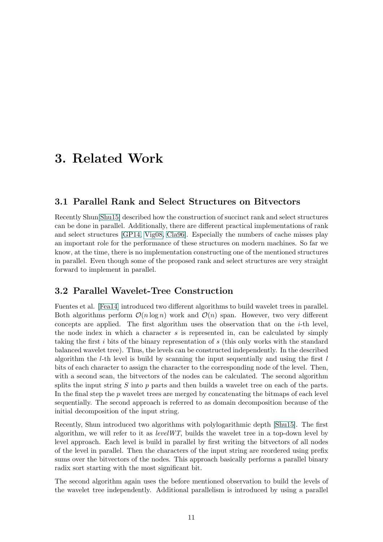## <span id="page-20-0"></span>3. Related Work

### <span id="page-20-1"></span>3.1 Parallel Rank and Select Structures on Bitvectors

Recently Shun[\[Shu15\]](#page-45-1) described how the construction of succinct rank and select structures can be done in parallel. Additionally, there are different practical implementations of rank and select structures [\[GP14,](#page-44-11) [Vig08,](#page-45-10) [Cla96\]](#page-44-7). Especially the numbers of cache misses play an important role for the performance of these structures on modern machines. So far we know, at the time, there is no implementation constructing one of the mentioned structures in parallel. Even though some of the proposed rank and select structures are very straight forward to implement in parallel.

### <span id="page-20-2"></span>3.2 Parallel Wavelet-Tree Construction

Fuentes et al. [\[Fea14\]](#page-44-3) introduced two different algorithms to build wavelet trees in parallel. Both algorithms perform  $\mathcal{O}(n \log n)$  work and  $\mathcal{O}(n)$  span. However, two very different concepts are applied. The first algorithm uses the observation that on the  $i$ -th level, the node index in which a character  $s$  is represented in, can be calculated by simply taking the first i bits of the binary representation of s (this only works with the standard balanced wavelet tree). Thus, the levels can be constructed independently. In the described algorithm the *l*-th level is build by scanning the input sequentially and using the first  $l$ bits of each character to assign the character to the corresponding node of the level. Then, with a second scan, the bitvectors of the nodes can be calculated. The second algorithm splits the input string  $S$  into  $p$  parts and then builds a wavelet tree on each of the parts. In the final step the p wavelet trees are merged by concatenating the bitmaps of each level sequentially. The second approach is referred to as domain decomposition because of the initial decomposition of the input string.

Recently, Shun introduced two algorithms with polylogarithmic depth [\[Shu15\]](#page-45-1). The first algorithm, we will refer to it as  $levelWT$ , builds the wavelet tree in a top-down level by level approach. Each level is build in parallel by first writing the bitvectors of all nodes of the level in parallel. Then the characters of the input string are reordered using prefix sums over the bitvectors of the nodes. This approach basically performs a parallel binary radix sort starting with the most significant bit.

The second algorithm again uses the before mentioned observation to build the levels of the wavelet tree independently. Additional parallelism is introduced by using a parallel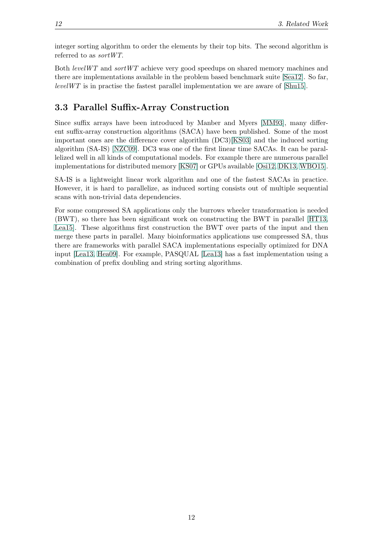integer sorting algorithm to order the elements by their top bits. The second algorithm is referred to as sortWT.

Both *levelWT* and *sortWT* achieve very good speedups on shared memory machines and there are implementations available in the problem based benchmark suite [\[Sea12\]](#page-45-4). So far, levelWT is in practise the fastest parallel implementation we are aware of [\[Shu15\]](#page-45-1).

## <span id="page-21-0"></span>3.3 Parallel Suffix-Array Construction

Since suffix arrays have been introduced by Manber and Myers [\[MM93\]](#page-45-8), many different suffix-array construction algorithms (SACA) have been published. Some of the most important ones are the difference cover algorithm (DC3)[\[KS03\]](#page-44-2) and the induced sorting algorithm (SA-IS) [\[NZC09\]](#page-45-9). DC3 was one of the first linear time SACAs. It can be parallelized well in all kinds of computational models. For example there are numerous parallel implementations for distributed memory [\[KS07\]](#page-44-12) or GPUs available [\[Osi12,](#page-45-11) [DK13,](#page-44-13) [WBO15\]](#page-45-12).

SA-IS is a lightweight linear work algorithm and one of the fastest SACAs in practice. However, it is hard to parallelize, as induced sorting consists out of multiple sequential scans with non-trivial data dependencies.

For some compressed SA applications only the burrows wheeler transformation is needed (BWT), so there has been significant work on constructing the BWT in parallel [\[HT13,](#page-44-14) [Lea15\]](#page-45-13). These algorithms first construction the BWT over parts of the input and then merge these parts in parallel. Many bioinformatics applications use compressed SA, thus there are frameworks with parallel SACA implementations especially optimized for DNA input [\[Lea13,](#page-45-14) [Hea09\]](#page-44-15). For example, PASQUAL [\[Lea13\]](#page-45-14) has a fast implementation using a combination of prefix doubling and string sorting algorithms.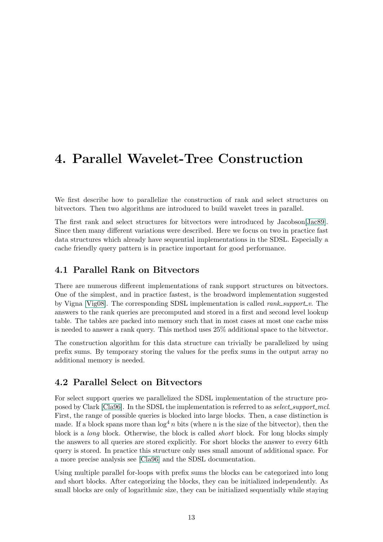## <span id="page-22-0"></span>4. Parallel Wavelet-Tree Construction

We first describe how to parallelize the construction of rank and select structures on bitvectors. Then two algorithms are introduced to build wavelet trees in parallel.

The first rank and select structures for bitvectors were introduced by Jacobson[\[Jac89\]](#page-44-6). Since then many different variations were described. Here we focus on two in practice fast data structures which already have sequential implementations in the SDSL. Especially a cache friendly query pattern is in practice important for good performance.

### <span id="page-22-1"></span>4.1 Parallel Rank on Bitvectors

There are numerous different implementations of rank support structures on bitvectors. One of the simplest, and in practice fastest, is the broadword implementation suggested by Vigna [\[Vig08\]](#page-45-10). The corresponding SDSL implementation is called *rank\_support\_v*. The answers to the rank queries are precomputed and stored in a first and second level lookup table. The tables are packed into memory such that in most cases at most one cache miss is needed to answer a rank query. This method uses 25% additional space to the bitvector.

The construction algorithm for this data structure can trivially be parallelized by using prefix sums. By temporary storing the values for the prefix sums in the output array no additional memory is needed.

### <span id="page-22-2"></span>4.2 Parallel Select on Bitvectors

For select support queries we parallelized the SDSL implementation of the structure pro-posed by Clark [\[Cla96\]](#page-44-7). In the SDSL the implementation is referred to as select\_support\_mcl. First, the range of possible queries is blocked into large blocks. Then, a case distinction is made. If a block spans more than  $\log^4 n$  bits (where n is the size of the bitvector), then the block is a long block. Otherwise, the block is called short block. For long blocks simply the answers to all queries are stored explicitly. For short blocks the answer to every 64th query is stored. In practice this structure only uses small amount of additional space. For a more precise analysis see [\[Cla96\]](#page-44-7) and the SDSL documentation.

Using multiple parallel for-loops with prefix sums the blocks can be categorized into long and short blocks. After categorizing the blocks, they can be initialized independently. As small blocks are only of logarithmic size, they can be initialized sequentially while staying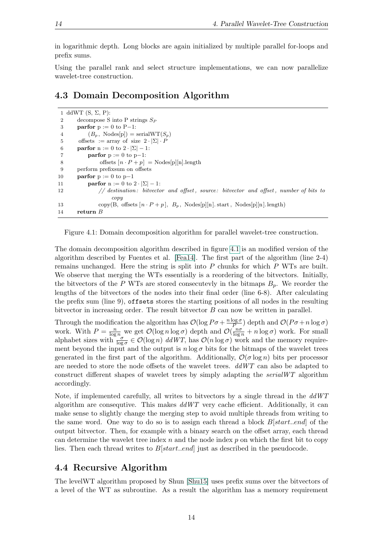in logarithmic depth. Long blocks are again initialized by multiple parallel for-loops and prefix sums.

Using the parallel rank and select structure implementations, we can now parallelize wavelet-tree construction.

### <span id="page-23-0"></span>4.3 Domain Decomposition Algorithm

```
1 ddWT (S, \Sigma, P):
2 decompose S into P strings S_P3 parfor p := 0 to P-1:
 4 (B_p, \text{Nodes}[p]) = \text{serialWT}(S_p)5 offsets := array of size 2 \cdot |\Sigma| \cdot P6 parfor n := 0 to 2 \cdot |\Sigma| - 1:
7 parfor p := 0 to p-1:
8 offsets [n \cdot P + p] = \text{Nodes}[p][n].\text{length}9 perform prefixsum on offsets
10 parfor p := 0 to p-111 parfor n := 0 to 2 \cdot |\Sigma| - 1:
12 // destination: bitvector and offset, source: bitvector and offset, number of bits to
                   \cos13 copy(B, offsets [n \cdot P + p], B_p, Nodes[p][n]. start, Nodes[p][n]. length)
14 return B
```
<span id="page-23-2"></span>Figure 4.1: Domain decomposition algorithm for parallel wavelet-tree construction.

The domain decomposition algorithm described in figure [4.1](#page-23-2) is an modified version of the algorithm described by Fuentes et al. [\[Fea14\]](#page-44-3). The first part of the algorithm (line 2-4) remains unchanged. Here the string is split into  $P$  chunks for which  $P$  WTs are built. We observe that merging the WTs essentially is a reordering of the bitvectors. Initially, the bitvectors of the P WTs are stored consecutevly in the bitmaps  $B_p$ . We reorder the lengths of the bitvectors of the nodes into their final order (line 6-8). After calculating the prefix sum (line 9), offsets stores the starting positions of all nodes in the resulting bitvector in increasing order. The result bitvector B can now be written in parallel.

Through the modification the algorithm has  $\mathcal{O}(\log P\sigma + \frac{n \log \sigma}{P})$  $\frac{\log \sigma}{P}$ ) depth and  $\mathcal{O}(P\sigma + n \log \sigma)$ work. With  $P = \frac{n}{\log n}$  we get  $\mathcal{O}(\log n \log \sigma)$  depth and  $\mathcal{O}(\frac{n\sigma}{\log n} + n \log \sigma)$  work. For small alphabet sizes with  $\frac{\sigma}{\log \sigma} \in \mathcal{O}(\log n)$  ddWT, has  $\mathcal{O}(n \log \sigma)$  work and the memory requirement beyond the input and the output is  $n \log \sigma$  bits for the bitmaps of the wavelet trees generated in the first part of the algorithm. Additionally,  $\mathcal{O}(\sigma \log n)$  bits per processor are needed to store the node offsets of the wavelet trees.  $ddWT$  can also be adapted to construct different shapes of wavelet trees by simply adapting the serialWT algorithm accordingly.

Note, if implemented carefully, all writes to bitvectors by a single thread in the  $ddWT$ algorithm are consequtive. This makes  $ddWT$  very cache efficient. Additionally, it can make sense to slightly change the merging step to avoid multiple threads from writing to the same word. One way to do so is to assign each thread a block  $B[start..end]$  of the output bitvector. Then, for example with a binary search on the offset array, each thread can determine the wavelet tree index  $n$  and the node index  $p$  on which the first bit to copy lies. Then each thread writes to B[start..end] just as described in the pseudocode.

### <span id="page-23-1"></span>4.4 Recursive Algorithm

The levelWT algorithm proposed by Shun [\[Shu15\]](#page-45-1) uses prefix sums over the bitvectors of a level of the WT as subroutine. As a result the algorithm has a memory requirement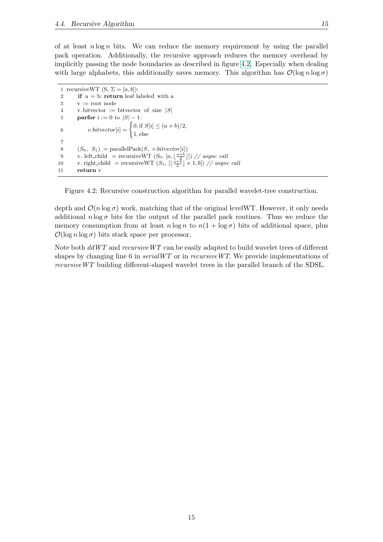of at least  $n \log n$  bits. We can reduce the memory requirement by using the parallel pack operation. Additionally, the recursive approach reduces the memory overhead by implicitly passing the node boundaries as described in figure [4.2.](#page-24-0) Especially when dealing with large alphabets, this additionally saves memory. This algorithm has  $\mathcal{O}(\log n \log \sigma)$ 

```
1 recursiveWT (S, \Sigma = [a, b]):
2 if a = b: return leaf labeled with a
3 \quad v := root node
4 v. bitvector := bitvector of size |S|5 parfor i := 0 to |S| - 1:
 6 v.bitvector[i] = \begin{cases} 0, \text{if } S[i] \leq (a+b)/2, \\ 0, \text{if } S[i] \leq (a+b)/2, \end{cases}1, else
7
8 (S_0, S_1) = \text{parallelPack}(S, v.bitvector[i])9 v. left_child = recursiveWT (S_0, [a, \lfloor \frac{a+b}{2} \rfloor]) // async call
10 v. right_child = recursiveWT (S_1, \lfloor \frac{a+b}{2} \rfloor + 1, b] // async call
11 return v
```
<span id="page-24-0"></span>Figure 4.2: Recursive construction algorithm for parallel wavelet-tree construction.

depth and  $\mathcal{O}(n \log \sigma)$  work, matching that of the original levelWT. However, it only needs additional  $n \log \sigma$  bits for the output of the parallel pack routines. Thus we reduce the memory consumption from at least  $n \log n$  to  $n(1 + \log \sigma)$  bits of additional space, plus  $\mathcal{O}(\log n \log \sigma)$  bits stack space per processor.

Note both  $ddWT$  and  $recursive WT$  can be easily adapted to build wavelet trees of different shapes by changing line 6 in  $serialWT$  or in  $recursive WT$ . We provide implementations of recursiveWT building different-shaped wavelet trees in the parallel branch of the SDSL.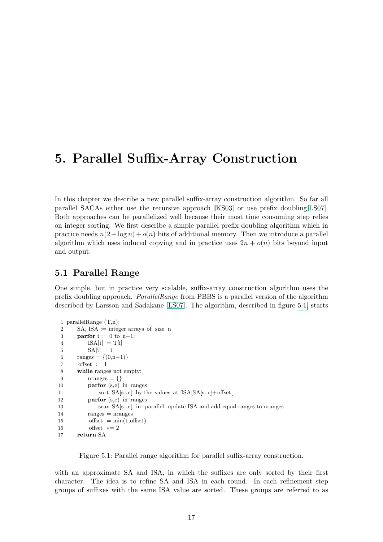## <span id="page-26-0"></span>5. Parallel Suffix-Array Construction

In this chapter we describe a new parallel suffix-array construction algorithm. So far all parallel SACAs either use the recursive approach [\[KS03\]](#page-44-2) or use prefix doubling[\[LS07\]](#page-45-3). Both approaches can be parallelized well because their most time consuming step relies on integer sorting. We first describe a simple parallel prefix doubling algorithm which in practice needs  $n(2 + \log n) + o(n)$  bits of additional memory. Then we introduce a parallel algorithm which uses induced copying and in practice uses  $2n + o(n)$  bits beyond input and output.

### <span id="page-26-1"></span>5.1 Parallel Range

One simple, but in practice very scalable, suffix-array construction algorithm uses the prefix doubling approach. ParallelRange from PBBS is a parallel version of the algorithm described by Larsson and Sadakane [\[LS07\]](#page-45-3). The algorithm, described in figure [5.1,](#page-26-2) starts

```
1 parallelRange (T,n):
2 SA, ISA := integer arrays of size n
3 parfor i := 0 to n-1:
4 \text{ISA}[i] = \text{T}[i]5 SA[i] = i6 ranges = \{(0,n-1)\}\7 offset := 18 while ranges not empty:
9 \text{nranges} = \{\}10 parfor (s,e) in ranges:
11 sort SA[s..e] by the values at ISA[SA[s..e] + offset]12 parfor (s,e) in ranges:
13 scan SA[s..e] in parallel update ISA and add equal ranges to nranges
14 ranges = nranges
15 offset =\min(1,\text{offset})16 offset * = 217 return SA
```
<span id="page-26-2"></span>Figure 5.1: Parallel range algorithm for parallel suffix-array construction.

with an approximate SA and ISA, in which the suffixes are only sorted by their first character. The idea is to refine SA and ISA in each round. In each refinement step groups of suffixes with the same ISA value are sorted. These groups are referred to as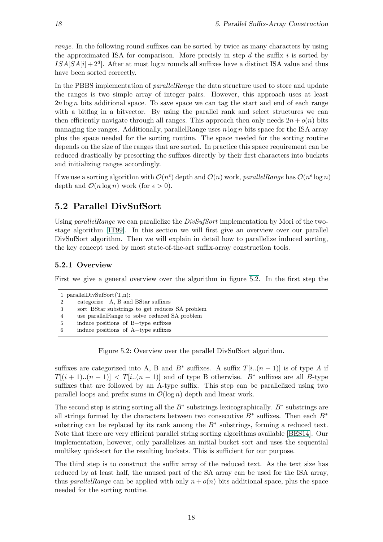range. In the following round suffixes can be sorted by twice as many characters by using the approximated ISA for comparison. More precisive in step d the suffix i is sorted by  $ISA[SA[i]+2^d]$ . After at most log n rounds all suffixes have a distinct ISA value and thus have been sorted correctly.

In the PBBS implementation of *parallelRange* the data structure used to store and update the ranges is two simple array of integer pairs. However, this approach uses at least  $2n \log n$  bits additional space. To save space we can tag the start and end of each range with a bitflag in a bitvector. By using the parallel rank and select structures we can then efficiently navigate through all ranges. This approach then only needs  $2n + o(n)$  bits managing the ranges. Additionally, parallel Range uses  $n \log n$  bits space for the ISA array plus the space needed for the sorting routine. The space needed for the sorting routine depends on the size of the ranges that are sorted. In practice this space requirement can be reduced drastically by presorting the suffixes directly by their first characters into buckets and initializing ranges accordingly.

If we use a sorting algorithm with  $\mathcal{O}(n^{\epsilon})$  depth and  $\mathcal{O}(n)$  work, parallelRange has  $\mathcal{O}(n^{\epsilon} \log n)$ depth and  $\mathcal{O}(n \log n)$  work (for  $\epsilon > 0$ ).

## <span id="page-27-0"></span>5.2 Parallel DivSufSort

Using parallelRange we can parallelize the DivSufSort implementation by Mori of the twostage algorithm [\[IT99\]](#page-44-4). In this section we will first give an overview over our parallel DivSufSort algorithm. Then we will explain in detail how to parallelize induced sorting, the key concept used by most state-of-the-art suffix-array construction tools.

#### <span id="page-27-1"></span>5.2.1 Overview

First we give a general overview over the algorithm in figure [5.2.](#page-27-2) In the first step the

```
1 parallelDivSufSort(T,n):
```

```
2 categorize A, B and BStar suffixes
```

```
3 sort BStar substrings to get reduces SA problem
```
4 use parallelRange to solve reduced SA problem

<span id="page-27-2"></span>Figure 5.2: Overview over the parallel DivSufSort algorithm.

suffixes are categorized into A, B and  $B^*$  suffixes. A suffix  $T[i..(n-1)]$  is of type A if  $T[(i + 1)...(n-1)] < T[i...(n-1)]$  and of type B otherwise.  $B^*$  suffixes are all B-type suffixes that are followed by an A-type suffix. This step can be parallelized using two parallel loops and prefix sums in  $\mathcal{O}(\log n)$  depth and linear work.

The second step is string sorting all the  $B^*$  substrings lexicographically.  $B^*$  substrings are all strings formed by the characters between two consecutive  $B^*$  suffixes. Then each  $B^*$ substring can be replaced by its rank among the  $B^*$  substrings, forming a reduced text. Note that there are very efficient parallel string sorting algorithms available [\[BES14\]](#page-44-16). Our implementation, however, only parallelizes an initial bucket sort and uses the sequential multikey quicksort for the resulting buckets. This is sufficient for our purpose.

The third step is to construct the suffix array of the reduced text. As the text size has reduced by at least half, the unused part of the SA array can be used for the ISA array, thus *parallelRange* can be applied with only  $n + o(n)$  bits additional space, plus the space needed for the sorting routine.

<sup>5</sup> induce positions of B−type suffixes

<sup>6</sup> induce positions of A−type suffixes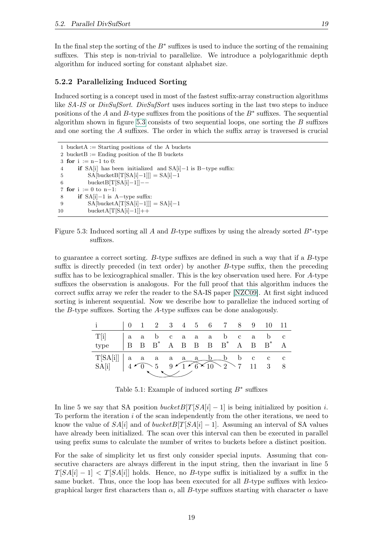In the final step the sorting of the  $B^*$  suffixes is used to induce the sorting of the remaining suffixes. This step is non-trivial to parallelize. We introduce a polylogarithmic depth algorithm for induced sorting for constant alphabet size.

#### <span id="page-28-0"></span>5.2.2 Parallelizing Induced Sorting

Induced sorting is a concept used in most of the fastest suffix-array construction algorithms like SA-IS or DivSufSort. DivSufSort uses induces sorting in the last two steps to induce positions of the A and B-type suffixes from the positions of the  $B^*$  suffixes. The sequential algorithm shown in figure [5.3](#page-28-1) consists of two sequential loops, one sorting the  $B$  suffixes and one sorting the A suffixes. The order in which the suffix array is traversed is crucial

```
1 bucketA := Starting positions of the A buckets
2 bucket B := Ending position of the B buckets
3 for i := n-1 to 0:
4 if SA[i] has been initialized and SA[i]−1 is B−type suffix:
5 SA[bucketB[T[SA[i]−1]]] = SA[i]−1
6 bucketB[T[SA[i]−1]]−−
7 for i := 0 to n-1:
8 if SA[i]−1 is A−type suffix:
9 SA[bucketA[T[SA[i]−1]]] = SA[i]−1
10 bucketA[T[SA[i]−1]]++
```
<span id="page-28-1"></span>Figure 5.3: Induced sorting all A and B-type suffixes by using the already sorted  $B^*$ -type suffixes.

to guarantee a correct sorting. B-type suffixes are defined in such a way that if a B-type suffix is directly preceded (in text order) by another B-type suffix, then the preceding suffix has to be lexicographical smaller. This is the key observation used here. For A-type suffixes the observation is analogous. For the full proof that this algorithm induces the correct suffix array we refer the reader to the SA-IS paper [\[NZC09\]](#page-45-9). At first sight induced sorting is inherent sequential. Now we describe how to parallelize the induced sorting of the B-type suffixes. Sorting the A-type suffixes can be done analogously.

|      |  |  |  |            |  | 0 1 2 3 4 5 6 7 8 9 10 11                                                                                |   |
|------|--|--|--|------------|--|----------------------------------------------------------------------------------------------------------|---|
| T[i] |  |  |  | aabcaaabca |  | b c                                                                                                      |   |
| type |  |  |  |            |  | $\begin{array}{cccccccccccccccccc} B & B & B & ^* & A & B & B & B & B & ^* & A & B & B & ^* \end{array}$ |   |
|      |  |  |  |            |  | $\mathbf{c}$ $\mathbf{c}$                                                                                |   |
|      |  |  |  |            |  | $\overline{3}$                                                                                           | 8 |
|      |  |  |  |            |  |                                                                                                          |   |

Table 5.1: Example of induced sorting  $B^*$  suffixes

In line 5 we say that SA position  $bucketB[T|SA[i] - 1]$  is being initialized by position i. To perform the iteration  $i$  of the scan independently from the other iterations, we need to know the value of  $SA[i]$  and of bucket  $B[T|SA[i] - 1]$ . Assuming an interval of SA values have already been initialized. The scan over this interval can then be executed in parallel using prefix sums to calculate the number of writes to buckets before a distinct position.

For the sake of simplicity let us first only consider special inputs. Assuming that consecutive characters are always different in the input string, then the invariant in line 5  $T[SA[i] - 1] < T[SA[i]]$  holds. Hence, no B-type suffix is initialized by a suffix in the same bucket. Thus, once the loop has been executed for all  $B$ -type suffixes with lexicographical larger first characters than  $\alpha$ , all B-type suffixes starting with character  $\alpha$  have

19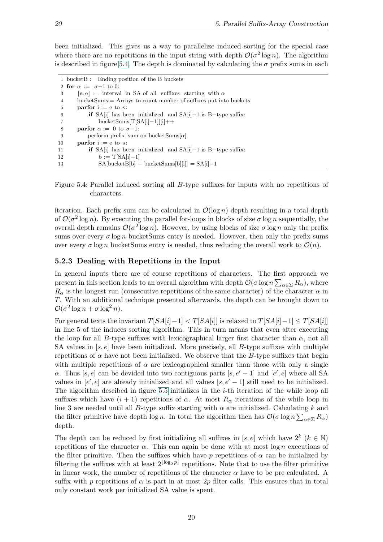been initialized. This gives us a way to parallelize induced sorting for the special case where there are no repetitions in the input string with depth  $\mathcal{O}(\sigma^2 \log n)$ . The algorithm is described in figure [5.4.](#page-29-1) The depth is dominated by calculating the  $\sigma$  prefix sums in each

```
1 bucket B := Ending position of the B buckets
2 for \alpha := \sigma - 1 to 0:
3 [ s,e] := interval in SA of all suffixes starting with \alpha4 bucketSums:= Arrays to count number of suffixes put into buckets
5 parfor i := e to s:
6 if SA[i] has been initialized and SA[i]−1 is B−type suffix:
7 bucketSums[T[SA[i]−1]][i]++
8 parfor \alpha := 0 to \sigma - 1:
9 perform prefix sum on bucketSums\alpha10 parfor i := e to s:
11 if SA[i] has been initialized and SA[i]−1 is B−type suffix:
12 b := T[SA[i]−1]
13 SA[bucketB[b] − bucketSums[b][i]] = SA[i]−1
```
<span id="page-29-1"></span>Figure 5.4: Parallel induced sorting all B-type suffixes for inputs with no repetitions of characters.

iteration. Each prefix sum can be calculated in  $\mathcal{O}(\log n)$  depth resulting in a total depth of  $\mathcal{O}(\sigma^2 \log n)$ . By executing the parallel for-loops in blocks of size  $\sigma \log n$  sequentially, the overall depth remains  $\mathcal{O}(\sigma^2 \log n)$ . However, by using blocks of size  $\sigma \log n$  only the prefix sums over every  $\sigma \log n$  bucketSums entry is needed. However, then only the prefix sums over every  $\sigma \log n$  bucketSums entry is needed, thus reducing the overall work to  $\mathcal{O}(n)$ .

#### <span id="page-29-0"></span>5.2.3 Dealing with Repetitions in the Input

In general inputs there are of course repetitions of characters. The first approach we present in this section leads to an overall algorithm with depth  $\mathcal{O}(\sigma \log n \sum_{\alpha \in \Sigma} R_{\alpha})$ , where  $R_{\alpha}$  is the longest run (consecutive repetitions of the same character) of the character  $\alpha$  in T. With an additional technique presented afterwards, the depth can be brought down to  $\mathcal{O}(\sigma^2 \log n + \sigma \log^2 n).$ 

For general texts the invariant  $T[SA[i]-1] < T[SA[i]]$  is relaxed to  $T[SA[i]-1] \leq T[SA[i]]$ in line 5 of the induces sorting algorithm. This in turn means that even after executing the loop for all B-type suffixes with lexicographical larger first character than  $\alpha$ , not all SA values in  $[s, e]$  have been initialized. More precisely, all B-type suffixes with multiple repetitions of  $\alpha$  have not been initialized. We observe that the B-type suffixes that begin with multiple repetitions of  $\alpha$  are lexicographical smaller than those with only a single α. Thus [s, e] can be devided into two contiguous parts [s, e' – 1] and [e', e] where all SA values in  $[e', e]$  are already initialized and all values  $[s, e' - 1]$  still need to be initialized. The algorithm descibed in figure [5.5](#page-30-0) initializes in the  $i$ -th iteration of the while loop all suffixes which have  $(i + 1)$  repetitions of  $\alpha$ . At most  $R_{\alpha}$  iterations of the while loop in line 3 are needed until all B-type suffix starting with  $\alpha$  are initialized. Calculating k and the filter primitive have depth log *n*. In total the algorithm then has  $\mathcal{O}(\sigma \log n \sum_{\alpha \in \Sigma} R_{\alpha})$ depth.

The depth can be reduced by first initializing all suffixes in [s, e] which have  $2^k$  ( $k \in \mathbb{N}$ ) repetitions of the character  $\alpha$ . This can again be done with at most log n executions of the filter primitive. Then the suffixes which have p repetitions of  $\alpha$  can be initialized by filtering the suffixes with at least  $2^{\lfloor \log_2 p \rfloor}$  repetitions. Note that to use the filter primitive in linear work, the number of repetitions of the character  $\alpha$  have to be pre calculated. A suffix with p repetitions of  $\alpha$  is part in at most 2p filter calls. This ensures that in total only constant work per initialized SA value is spent.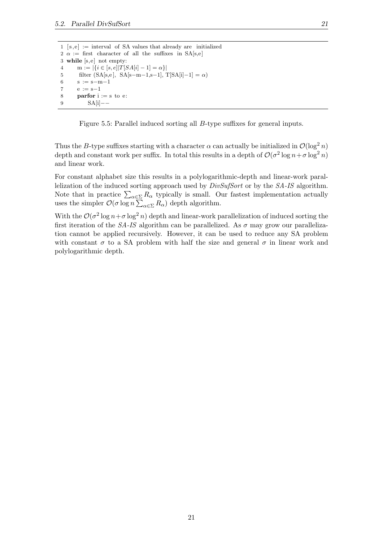$1 [s,e] :=$  interval of SA values that already are initialized 2  $\alpha$  := first character of all the suffixes in SA[s,e] 3 while [s,e] not empty: 4 m :=  $|\{i \in [s, e] | T[SA[i] - 1] = \alpha\}|$ 5 filter  $(SA[s,e], SA[s-m-1,s-1], T[SA[i]-1] = \alpha)$ 6  $s := s-m-1$ 7  $e := s-1$ 8 **parfor**  $i := s$  to  $e$ : 9 SA[i]−−

<span id="page-30-0"></span>Figure 5.5: Parallel induced sorting all B-type suffixes for general inputs.

Thus the B-type suffixes starting with a character  $\alpha$  can actually be initialized in  $\mathcal{O}(\log^2 n)$ depth and constant work per suffix. In total this results in a depth of  $\mathcal{O}(\sigma^2 \log n + \sigma \log^2 n)$ and linear work.

For constant alphabet size this results in a polylogarithmic-depth and linear-work parallelization of the induced sorting approach used by  $DivSufSort$  or by the SA-IS algorithm. Note that in practice  $\sum_{\alpha \in \Sigma} R_{\alpha}$  typically is small. Our fastest implementation actually uses the simpler  $\mathcal{O}(\sigma \log n \sum_{\alpha \in \Sigma} R_{\alpha})$  depth algorithm.

With the  $\mathcal{O}(\sigma^2 \log n + \sigma \log^2 n)$  depth and linear-work parallelization of induced sorting the first iteration of the SA-IS algorithm can be parallelized. As  $\sigma$  may grow our parallelization cannot be applied recursively. However, it can be used to reduce any SA problem with constant  $\sigma$  to a SA problem with half the size and general  $\sigma$  in linear work and polylogarithmic depth.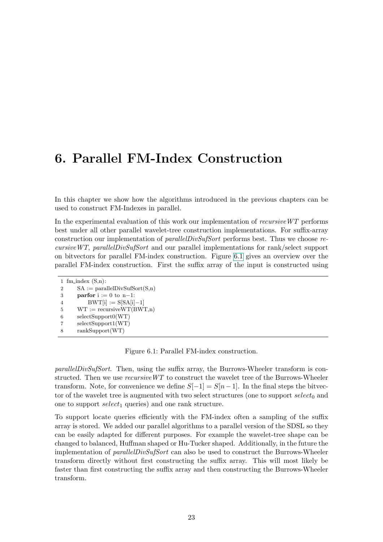## <span id="page-32-0"></span>6. Parallel FM-Index Construction

In this chapter we show how the algorithms introduced in the previous chapters can be used to construct FM-Indexes in parallel.

In the experimental evaluation of this work our implementation of  $recursiveWT$  performs best under all other parallel wavelet-tree construction implementations. For suffix-array construction our implementation of *parallelDivSufSort* performs best. Thus we choose  $re$ cursiveWT, parallelDivSufSort and our parallel implementations for rank/select support on bitvectors for parallel FM-index construction. Figure [6.1](#page-32-1) gives an overview over the parallel FM-index construction. First the suffix array of the input is constructed using

```
1 fm_index (S,n):
2 SA := \text{parallelDivSufSort}(S,n)3 parfor i := 0 to n-1:
4 BWT[i] := S[SA[i]-1]5 WT := recursiveWT(BWT, n)6 selectSupport0(WT)
7 selectSupport1(WT)
8 rankSupport(WT)
```
<span id="page-32-1"></span>Figure 6.1: Parallel FM-index construction.

parallelDivSufSort. Then, using the suffix array, the Burrows-Wheeler transform is constructed. Then we use  $recursiveWT$  to construct the wavelet tree of the Burrows-Wheeler transform. Note, for convenience we define  $S[-1] = S[n-1]$ . In the final steps the bitvector of the wavelet tree is augmented with two select structures (one to support  $select_0$  and one to support  $select_1$  queries) and one rank structure.

To support locate queries efficiently with the FM-index often a sampling of the suffix array is stored. We added our parallel algorithms to a parallel version of the SDSL so they can be easily adapted for different purposes. For example the wavelet-tree shape can be changed to balanced, Huffman shaped or Hu-Tucker shaped. Additionally, in the future the implementation of *parallelDivSufSort* can also be used to construct the Burrows-Wheeler transform directly without first constructing the suffix array. This will most likely be faster than first constructing the suffix array and then constructing the Burrows-Wheeler transform.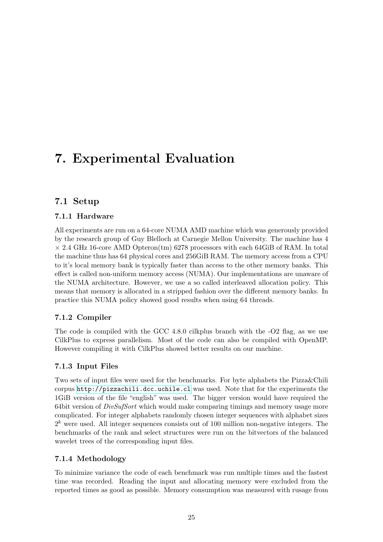## <span id="page-34-0"></span>7. Experimental Evaluation

## <span id="page-34-1"></span>7.1 Setup

### <span id="page-34-2"></span>7.1.1 Hardware

All experiments are run on a 64-core NUMA AMD machine which was generously provided by the research group of Guy Blelloch at Carnegie Mellon University. The machine has 4  $\times$  2.4 GHz 16-core AMD Opteron(tm) 6278 processors with each 64GiB of RAM. In total the machine thus has 64 physical cores and 256GiB RAM. The memory access from a CPU to it's local memory bank is typically faster than access to the other memory banks. This effect is called non-uniform memory access (NUMA). Our implementations are unaware of the NUMA architecture. However, we use a so called interleaved allocation policy. This means that memory is allocated in a stripped fashion over the different memory banks. In practice this NUMA policy showed good results when using 64 threads.

### <span id="page-34-3"></span>7.1.2 Compiler

The code is compiled with the GCC 4.8.0 cilkplus branch with the -O2 flag, as we use CilkPlus to express parallelism. Most of the code can also be compiled with OpenMP. However compiling it with CilkPlus showed better results on our machine.

#### <span id="page-34-4"></span>7.1.3 Input Files

Two sets of input files were used for the benchmarks. For byte alphabets the Pizza&Chili corpus <http://pizzachili.dcc.uchile.cl> was used. Note that for the experiments the 1GiB version of the file "english" was used. The bigger version would have required the 64bit version of  $DivSufSort$  which would make comparing timings and memory usage more complicated. For integer alphabets randomly chosen integer sequences with alphabet sizes  $2<sup>k</sup>$  were used. All integer sequences consists out of 100 million non-negative integers. The benchmarks of the rank and select structures were run on the bitvectors of the balanced wavelet trees of the corresponding input files.

### <span id="page-34-5"></span>7.1.4 Methodology

To minimize variance the code of each benchmark was run multiple times and the fastest time was recorded. Reading the input and allocating memory were excluded from the reported times as good as possible. Memory consumption was measured with rusage from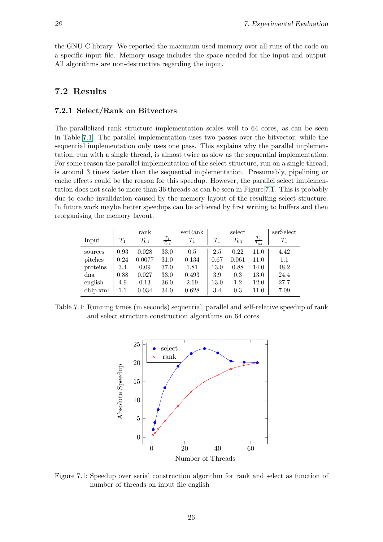the GNU C library. We reported the maximum used memory over all runs of the code on a specific input file. Memory usage includes the space needed for the input and output. All algorithms are non-destructive regarding the input.

### <span id="page-35-1"></span><span id="page-35-0"></span>7.2 Results

#### 7.2.1 Select/Rank on Bitvectors

The parallelized rank structure implementation scales well to 64 cores, as can be seen in Table [7.1.](#page-35-2) The parallel implementation uses two passes over the bitvector, while the sequential implementation only uses one pass. This explains why the parallel implementation, run with a single thread, is almost twice as slow as the sequential implementation. For some reason the parallel implementation of the select structure, run on a single thread, is around 3 times faster than the sequential implementation. Presumably, pipelining or cache effects could be the reason for this speedup. However, the parallel select implementation does not scale to more than 36 threads as can be seen in Figure [7.1.](#page-35-3) This is probably due to cache invalidation caused by the memory layout of the resulting select structure. In future work maybe better speedups can be achieved by first writing to buffers and then reorganising the memory layout.

|          |       | rank     |                      | serRank |       | select   |                      | serSelect          |
|----------|-------|----------|----------------------|---------|-------|----------|----------------------|--------------------|
| Input    | $T_1$ | $T_{64}$ | $\frac{T_1}{T_{64}}$ | $T_1$   | $T_1$ | $T_{64}$ | $\frac{T_1}{T_{64}}$ | $\scriptstyle T_1$ |
| sources  | 0.93  | 0.028    | 33.0                 | 0.5     | 2.5   | 0.22     | 11.0                 | 4.42               |
| pitches  | 0.24  | 0.0077   | 31.0                 | 0.134   | 0.67  | 0.061    | 11.0                 | 1.1                |
| proteins | 3.4   | 0.09     | 37.0                 | 1.81    | 13.0  | 0.88     | 14.0                 | 48.2               |
| dna      | 0.88  | 0.027    | 33.0                 | 0.493   | 3.9   | 0.3      | 13.0                 | 24.4               |
| english  | 4.9   | 0.13     | 36.0                 | 2.69    | 13.0  | $1.2\,$  | 12.0                 | 27.7               |
| dblp.xml | 1.1   | 0.034    | 34.0                 | 0.628   | 3.4   | 0.3      | 11.0                 | 7.09               |

<span id="page-35-2"></span>Table 7.1: Running times (in seconds) sequential, parallel and self-relative speedup of rank and select structure construction algorithms on 64 cores.



<span id="page-35-3"></span>Figure 7.1: Speedup over serial construction algorithm for rank and select as function of number of threads on input file english

26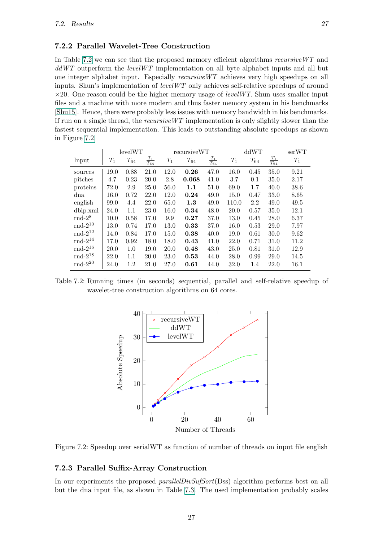#### <span id="page-36-0"></span>7.2.2 Parallel Wavelet-Tree Construction

In Table [7.2](#page-36-2) we can see that the proposed memory efficient algorithms recursive WT and  $ddWT$  outperform the *levelWT* implementation on all byte alphabet inputs and all but one integer alphabet input. Especially recursiveWT achieves very high speedups on all inputs. Shun's implementation of  $levelWT$  only achieves self-relative speedups of around  $\times 20$ . One reason could be the higher memory usage of *levelWT*. Shun uses smaller input files and a machine with more modern and thus faster memory system in his benchmarks [\[Shu15\]](#page-45-1). Hence, there were probably less issues with memory bandwidth in his benchmarks. If run on a single thread, the recursiveWT implementation is only slightly slower than the fastest sequential implementation. This leads to outstanding absolute speedups as shown in Figure [7.2.](#page-36-3)

|                     |       | levelWT  |                      |       | recursiveWT |                      |       | ddWT     |                      |       |
|---------------------|-------|----------|----------------------|-------|-------------|----------------------|-------|----------|----------------------|-------|
| Input               | $T_1$ | $T_{64}$ | $\frac{T_1}{T_{64}}$ | $T_1$ | $T_{64}$    | $\frac{T_1}{T_{64}}$ | $T_1$ | $T_{64}$ | $\frac{T_1}{T_{64}}$ | $T_1$ |
| sources             | 19.0  | 0.88     | 21.0                 | 12.0  | 0.26        | 47.0                 | 16.0  | 0.45     | 35.0                 | 9.21  |
| pitches             | 4.7   | 0.23     | 20.0                 | 2.8   | 0.068       | 41.0                 | 3.7   | 0.1      | 35.0                 | 2.17  |
| proteins            | 72.0  | 2.9      | 25.0                 | 56.0  | 1.1         | 51.0                 | 69.0  | 1.7      | 40.0                 | 38.6  |
| dna                 | 16.0  | 0.72     | 22.0                 | 12.0  | 0.24        | 49.0                 | 15.0  | 0.47     | 33.0                 | 8.65  |
| english             | 99.0  | 4.4      | 22.0                 | 65.0  | 1.3         | 49.0                 | 110.0 | 2.2      | 49.0                 | 49.5  |
| dblp.xml            | 24.0  | 1.1      | 23.0                 | 16.0  | 0.34        | 48.0                 | 20.0  | 0.57     | 35.0                 | 12.1  |
| $\text{rnd-2}^8$    | 10.0  | 0.58     | 17.0                 | 9.9   | 0.27        | 37.0                 | 13.0  | 0.45     | 28.0                 | 6.37  |
| $\text{rnd-}2^{10}$ | 13.0  | 0.74     | 17.0                 | 13.0  | 0.33        | 37.0                 | 16.0  | 0.53     | 29.0                 | 7.97  |
| $\text{rnd-}2^{12}$ | 14.0  | 0.84     | 17.0                 | 15.0  | 0.38        | 40.0                 | 19.0  | 0.61     | 30.0                 | 9.62  |
| $\text{rnd-}2^{14}$ | 17.0  | 0.92     | 18.0                 | 18.0  | 0.43        | 41.0                 | 22.0  | 0.71     | 31.0                 | 11.2  |
| $\text{rnd-}2^{16}$ | 20.0  | 1.0      | 19.0                 | 20.0  | 0.48        | 43.0                 | 25.0  | 0.81     | 31.0                 | 12.9  |
| $\rm{rnd-}2^{18}$   | 22.0  | 1.1      | 20.0                 | 23.0  | 0.53        | 44.0                 | 28.0  | 0.99     | 29.0                 | 14.5  |
| $\text{rnd-}2^{20}$ | 24.0  | 1.2      | 21.0                 | 27.0  | 0.61        | 44.0                 | 32.0  | 1.4      | 22.0                 | 16.1  |

<span id="page-36-2"></span>Table 7.2: Running times (in seconds) sequential, parallel and self-relative speedup of wavelet-tree construction algorithms on 64 cores.



<span id="page-36-3"></span>Figure 7.2: Speedup over serialWT as function of number of threads on input file english

#### <span id="page-36-1"></span>7.2.3 Parallel Suffix-Array Construction

In our experiments the proposed *parallelDivSufSort*(Dss) algorithm performs best on all but the dna input file, as shown in Table [7.3.](#page-37-1) The used implementation probably scales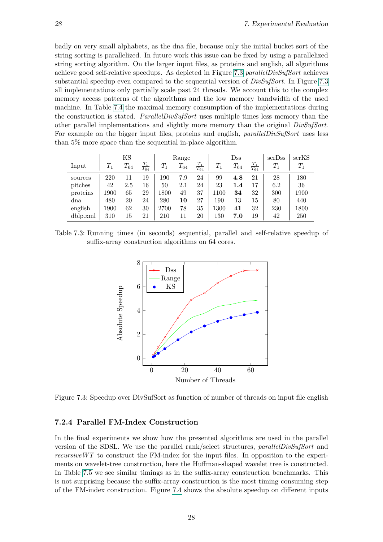badly on very small alphabets, as the dna file, because only the initial bucket sort of the string sorting is parallelized. In future work this issue can be fixed by using a parallelized string sorting algorithm. On the larger input files, as proteins and english, all algorithms achieve good self-relative speedups. As depicted in Figure [7.3](#page-37-2) parallelDivSufSort achieves substantial speedup even compared to the sequential version of  $DivSufSort$ . In Figure [7.3](#page-37-2) all implementations only partially scale past 24 threads. We account this to the complex memory access patterns of the algorithms and the low memory bandwidth of the used machine. In Table [7.4](#page-38-0) the maximal memory consumption of the implementations during the construction is stated. *ParallelDivSufSort* uses multiple times less memory than the other parallel implementations and slightly more memory than the original  $DivSufSort$ . For example on the bigger input files, proteins and english, *parallelDivSufSort* uses less than 5% more space than the sequential in-place algorithm.

|          |         | ΚS       |                      |       | Range    |                      |       | $_{\rm Dss}$ |                      | serDss | serKS |
|----------|---------|----------|----------------------|-------|----------|----------------------|-------|--------------|----------------------|--------|-------|
| Input    | $T_{1}$ | $T_{64}$ | $\frac{T_1}{T_{64}}$ | $T_1$ | $T_{64}$ | $\frac{T_1}{T_{64}}$ | $T_1$ | $T_{64}$     | $\frac{T_1}{T_{64}}$ | $T_1$  | $T_1$ |
| sources  | 220     |          | 19                   | 190   | 7.9      | 24                   | 99    | 4.8          | 21                   | 28     | 180   |
| pitches  | 42      | 2.5      | 16                   | 50    | 2.1      | 24                   | 23    | 1.4          | 17                   | 6.2    | 36    |
| proteins | 1900    | 65       | 29                   | 1800  | 49       | 37                   | 1100  | 34           | 32                   | 300    | 1900  |
| dna      | 480     | 20       | 24                   | 280   | 10       | 27                   | 190   | 13           | 15                   | 80     | 440   |
| english  | 1900    | 62       | 30                   | 2700  | 78       | 35                   | 1300  | 41           | 32                   | 230    | 1800  |
| dblp.xml | 310     | 15       | 21                   | 210   | 11       | 20                   | 130   | 7.0          | 19                   | 42     | 250   |

<span id="page-37-1"></span>Table 7.3: Running times (in seconds) sequential, parallel and self-relative speedup of suffix-array construction algorithms on 64 cores.



<span id="page-37-2"></span>Figure 7.3: Speedup over DivSufSort as function of number of threads on input file english

#### <span id="page-37-0"></span>7.2.4 Parallel FM-Index Construction

In the final experiments we show how the presented algorithms are used in the parallel version of the SDSL. We use the parallel rank/select structures, parallelDivSufSort and recursive  $WT$  to construct the FM-index for the input files. In opposition to the experiments on wavelet-tree construction, here the Huffman-shaped wavelet tree is constructed. In Table [7.5](#page-38-1) we see similar timings as in the suffix-array construction benchmarks. This is not surprising because the suffix-array construction is the most timing consuming step of the FM-index construction. Figure [7.4](#page-38-2) shows the absolute speedup on different inputs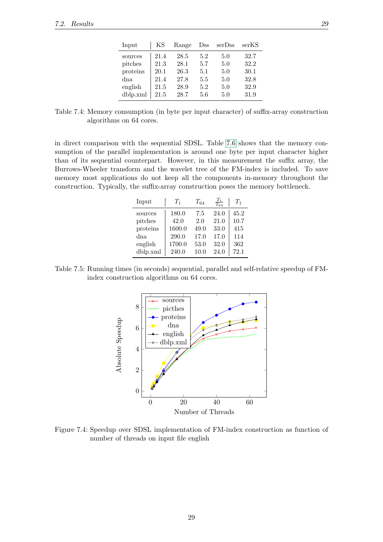| Input    | ΚS   | Range | $_{\rm Dss}$ | serDss | serKS |
|----------|------|-------|--------------|--------|-------|
| sources  | 21.4 | 28.5  | 5.2          | 5.0    | 32.7  |
| pitches  | 21.3 | 28.1  | 5.7          | 5.0    | 32.2  |
| proteins | 20.1 | 26.3  | 5.1          | 5.0    | 30.1  |
| dna      | 21.4 | 27.8  | 5.5          | 5.0    | 32.8  |
| english  | 21.5 | 28.9  | 5.2          | 5.0    | 32.9  |
| dblp.xml | 21.5 | 28.7  | 5.6          | 5.0    | 31.9  |

<span id="page-38-0"></span>Table 7.4: Memory consumption (in byte per input character) of suffix-array construction algorithms on 64 cores.

in direct comparison with the sequential SDSL. Table [7.6](#page-39-0) shows that the memory consumption of the parallel implementation is around one byte per input character higher than of its sequential counterpart. However, in this measurement the suffix array, the Burrows-Wheeler transform and the wavelet tree of the FM-index is included. To save memory most applications do not keep all the components in-memory throughout the construction. Typically, the suffix-array construction poses the memory bottleneck.

| Input    | $T_1$  | $T_{64}$ | $T_1$<br>$\overline{T_{64}}$ | $T_1$ |
|----------|--------|----------|------------------------------|-------|
| sources  | 180.0  | 7.5      | 24.0                         | 45.2  |
| pitches  | 42.0   | 2.0      | 21.0                         | 10.7  |
| proteins | 1600.0 | 49.0     | 33.0                         | 415   |
| dna      | 290.0  | 17.0     | 17.0                         | 114   |
| english  | 1700.0 | 53.0     | 32.0                         | 362   |
| dblp.xml | 240.0  | 10.0     | 24.0                         | 72.1  |

Table 7.5: Running times (in seconds) sequential, parallel and self-relative speedup of FMindex construction algorithms on 64 cores.

<span id="page-38-1"></span>

<span id="page-38-2"></span>Figure 7.4: Speedup over SDSL implementation of FM-index construction as function of number of threads on input file english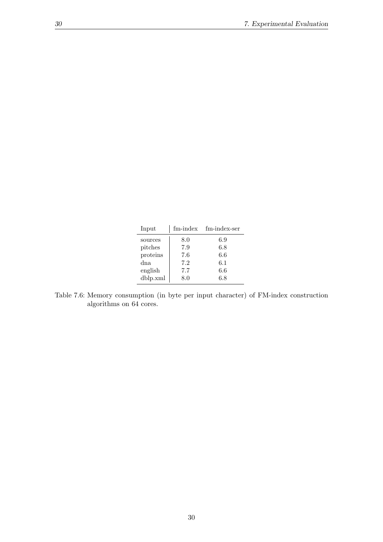| Input    | fm-index | fm-index-ser |
|----------|----------|--------------|
| sources  | 8.0      | 6.9          |
| pitches  | 7.9      | 6.8          |
| proteins | 7.6      | 6.6          |
| dna      | 7.2      | 6.1          |
| english  | 7.7      | 6.6          |
| dblp.xml | 8.0      | 6.8          |

<span id="page-39-0"></span>Table 7.6: Memory consumption (in byte per input character) of FM-index construction algorithms on 64 cores.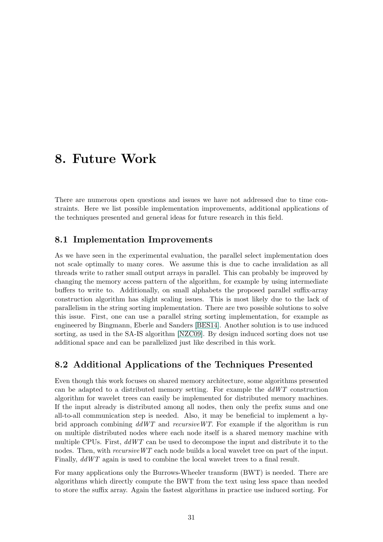## <span id="page-40-0"></span>8. Future Work

There are numerous open questions and issues we have not addressed due to time constraints. Here we list possible implementation improvements, additional applications of the techniques presented and general ideas for future research in this field.

### <span id="page-40-1"></span>8.1 Implementation Improvements

As we have seen in the experimental evaluation, the parallel select implementation does not scale optimally to many cores. We assume this is due to cache invalidation as all threads write to rather small output arrays in parallel. This can probably be improved by changing the memory access pattern of the algorithm, for example by using intermediate buffers to write to. Additionally, on small alphabets the proposed parallel suffix-array construction algorithm has slight scaling issues. This is most likely due to the lack of parallelism in the string sorting implementation. There are two possible solutions to solve this issue. First, one can use a parallel string sorting implementation, for example as engineered by Bingmann, Eberle and Sanders [\[BES14\]](#page-44-16). Another solution is to use induced sorting, as used in the SA-IS algorithm [\[NZC09\]](#page-45-9). By design induced sorting does not use additional space and can be parallelized just like described in this work.

## <span id="page-40-2"></span>8.2 Additional Applications of the Techniques Presented

Even though this work focuses on shared memory architecture, some algorithms presented can be adapted to a distributed memory setting. For example the  $ddWT$  construction algorithm for wavelet trees can easily be implemented for distributed memory machines. If the input already is distributed among all nodes, then only the prefix sums and one all-to-all communication step is needed. Also, it may be beneficial to implement a hybrid approach combining  $ddWT$  and recursive WT. For example if the algorithm is run on multiple distributed nodes where each node itself is a shared memory machine with multiple CPUs. First,  $ddWT$  can be used to decompose the input and distribute it to the nodes. Then, with *recursive WT* each node builds a local wavelet tree on part of the input. Finally,  $ddWT$  again is used to combine the local wavelet trees to a final result.

For many applications only the Burrows-Wheeler transform (BWT) is needed. There are algorithms which directly compute the BWT from the text using less space than needed to store the suffix array. Again the fastest algorithms in practice use induced sorting. For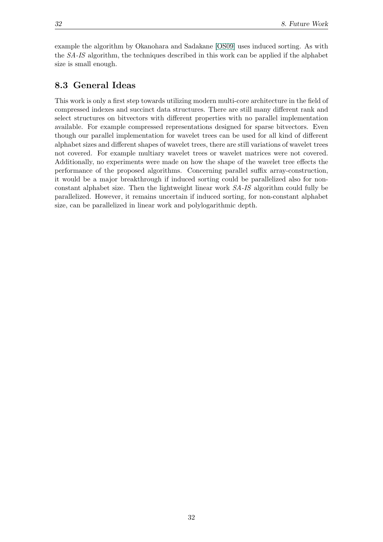example the algorithm by Okanohara and Sadakane [\[OS09\]](#page-45-15) uses induced sorting. As with the SA-IS algorithm, the techniques described in this work can be applied if the alphabet size is small enough.

### <span id="page-41-0"></span>8.3 General Ideas

This work is only a first step towards utilizing modern multi-core architecture in the field of compressed indexes and succinct data structures. There are still many different rank and select structures on bitvectors with different properties with no parallel implementation available. For example compressed representations designed for sparse bitvectors. Even though our parallel implementation for wavelet trees can be used for all kind of different alphabet sizes and different shapes of wavelet trees, there are still variations of wavelet trees not covered. For example multiary wavelet trees or wavelet matrices were not covered. Additionally, no experiments were made on how the shape of the wavelet tree effects the performance of the proposed algorithms. Concerning parallel suffix array-construction, it would be a major breakthrough if induced sorting could be parallelized also for nonconstant alphabet size. Then the lightweight linear work SA-IS algorithm could fully be parallelized. However, it remains uncertain if induced sorting, for non-constant alphabet size, can be parallelized in linear work and polylogarithmic depth.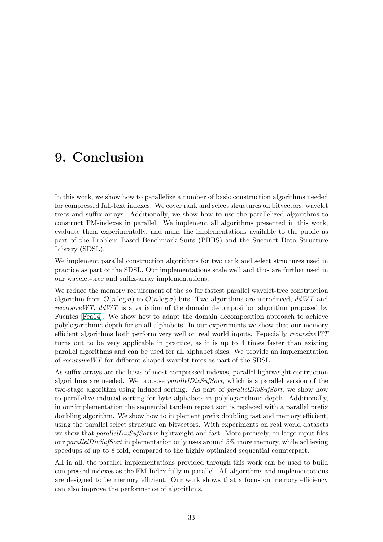## <span id="page-42-0"></span>9. Conclusion

In this work, we show how to parallelize a number of basic construction algorithms needed for compressed full-text indexes. We cover rank and select structures on bitvectors, wavelet trees and suffix arrays. Additionally, we show how to use the parallelized algorithms to construct FM-indexes in parallel. We implement all algorithms presented in this work, evaluate them experimentally, and make the implementations available to the public as part of the Problem Based Benchmark Suits (PBBS) and the Succinct Data Structure Library (SDSL).

We implement parallel construction algorithms for two rank and select structures used in practice as part of the SDSL. Our implementations scale well and thus are further used in our wavelet-tree and suffix-array implementations.

We reduce the memory requirement of the so far fastest parallel wavelet-tree construction algorithm from  $\mathcal{O}(n \log n)$  to  $\mathcal{O}(n \log \sigma)$  bits. Two algorithms are introduced,  $ddWT$  and recursive WT.  $ddWT$  is a variation of the domain decomposition algorithm proposed by Fuentes [\[Fea14\]](#page-44-3). We show how to adapt the domain decomposition approach to achieve polylogarithmic depth for small alphabets. In our experiments we show that our memory efficient algorithms both perform very well on real world inputs. Especially recursiveWT turns out to be very applicable in practice, as it is up to 4 times faster than existing parallel algorithms and can be used for all alphabet sizes. We provide an implementation of recursiveWT for different-shaped wavelet trees as part of the SDSL.

As suffix arrays are the basis of most compressed indexes, parallel lightweight contruction algorithms are needed. We propose *parallelDivSufSort*, which is a parallel version of the two-stage algorithm using induced sorting. As part of *parallelDivSufSort*, we show how to parallelize induced sorting for byte alphabets in polylogarithmic depth. Additionally, in our implementation the sequential tandem repeat sort is replaced with a parallel prefix doubling algorithm. We show how to implement prefix doubling fast and memory efficient, using the parallel select structure on bitvectors. With experiments on real world datasets we show that *parallelDivSufSort* is lightweight and fast. More precisely, on large input files our *parallelDivSufSort* implementation only uses around 5% more memory, while achieving speedups of up to 8 fold, compared to the highly optimized sequential counterpart.

All in all, the parallel implementations provided through this work can be used to build compressed indexes as the FM-Index fully in parallel. All algorithms and implementations are designed to be memory efficient. Our work shows that a focus on memory efficiency can also improve the performance of algorithms.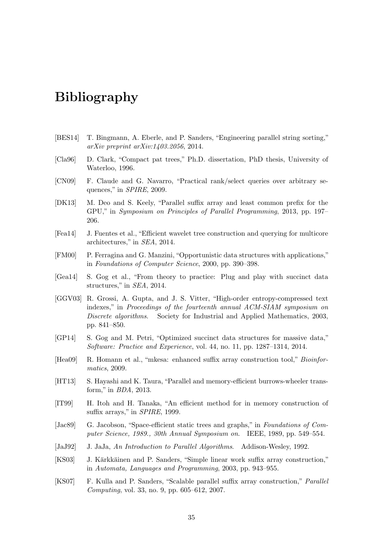## <span id="page-44-0"></span>Bibliography

- <span id="page-44-16"></span>[BES14] T. Bingmann, A. Eberle, and P. Sanders, "Engineering parallel string sorting," arXiv preprint arXiv:1403.2056, 2014.
- <span id="page-44-7"></span>[Cla96] D. Clark, "Compact pat trees," Ph.D. dissertation, PhD thesis, University of Waterloo, 1996.
- <span id="page-44-9"></span>[CN09] F. Claude and G. Navarro, "Practical rank/select queries over arbitrary sequences," in SPIRE, 2009.
- <span id="page-44-13"></span>[DK13] M. Deo and S. Keely, "Parallel suffix array and least common prefix for the GPU," in Symposium on Principles of Parallel Programming, 2013, pp. 197– 206.
- <span id="page-44-3"></span>[Fea14] J. Fuentes et al., "Efficient wavelet tree construction and querying for multicore architectures," in SEA, 2014.
- <span id="page-44-5"></span>[FM00] P. Ferragina and G. Manzini, "Opportunistic data structures with applications," in Foundations of Computer Science, 2000, pp. 390–398.
- <span id="page-44-1"></span>[Gea14] S. Gog et al., "From theory to practice: Plug and play with succinct data structures," in SEA, 2014.
- <span id="page-44-8"></span>[GGV03] R. Grossi, A. Gupta, and J. S. Vitter, "High-order entropy-compressed text indexes," in Proceedings of the fourteenth annual ACM-SIAM symposium on Discrete algorithms. Society for Industrial and Applied Mathematics, 2003, pp. 841–850.
- <span id="page-44-11"></span>[GP14] S. Gog and M. Petri, "Optimized succinct data structures for massive data," Software: Practice and Experience, vol. 44, no. 11, pp. 1287–1314, 2014.
- <span id="page-44-15"></span>[Hea09] R. Homann et al., "mkesa: enhanced suffix array construction tool," Bioinformatics, 2009.
- <span id="page-44-14"></span>[HT13] S. Hayashi and K. Taura, "Parallel and memory-efficient burrows-wheeler transform," in BDA, 2013.
- <span id="page-44-4"></span>[IT99] H. Itoh and H. Tanaka, "An efficient method for in memory construction of suffix arrays," in SPIRE, 1999.
- <span id="page-44-6"></span>[Jac89] G. Jacobson, "Space-efficient static trees and graphs," in Foundations of Computer Science, 1989., 30th Annual Symposium on. IEEE, 1989, pp. 549–554.
- <span id="page-44-10"></span>[JaJ92] J. JaJa, An Introduction to Parallel Algorithms. Addison-Wesley, 1992.
- <span id="page-44-2"></span>[KS03] J. Kärkkäinen and P. Sanders, "Simple linear work suffix array construction," in Automata, Languages and Programming, 2003, pp. 943–955.
- <span id="page-44-12"></span>[KS07] F. Kulla and P. Sanders, "Scalable parallel suffix array construction," Parallel Computing, vol. 33, no. 9, pp. 605–612, 2007.